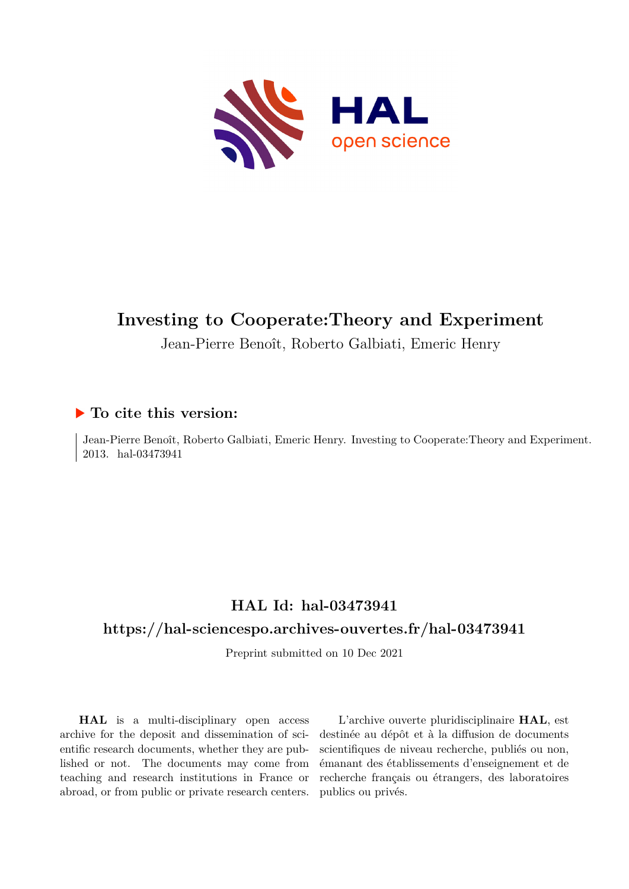

# **Investing to Cooperate:Theory and Experiment**

Jean-Pierre Benoît, Roberto Galbiati, Emeric Henry

## **To cite this version:**

Jean-Pierre Benoît, Roberto Galbiati, Emeric Henry. Investing to Cooperate:Theory and Experiment. 2013. hal-03473941

# **HAL Id: hal-03473941**

## **<https://hal-sciencespo.archives-ouvertes.fr/hal-03473941>**

Preprint submitted on 10 Dec 2021

**HAL** is a multi-disciplinary open access archive for the deposit and dissemination of scientific research documents, whether they are published or not. The documents may come from teaching and research institutions in France or abroad, or from public or private research centers.

L'archive ouverte pluridisciplinaire **HAL**, est destinée au dépôt et à la diffusion de documents scientifiques de niveau recherche, publiés ou non, émanant des établissements d'enseignement et de recherche français ou étrangers, des laboratoires publics ou privés.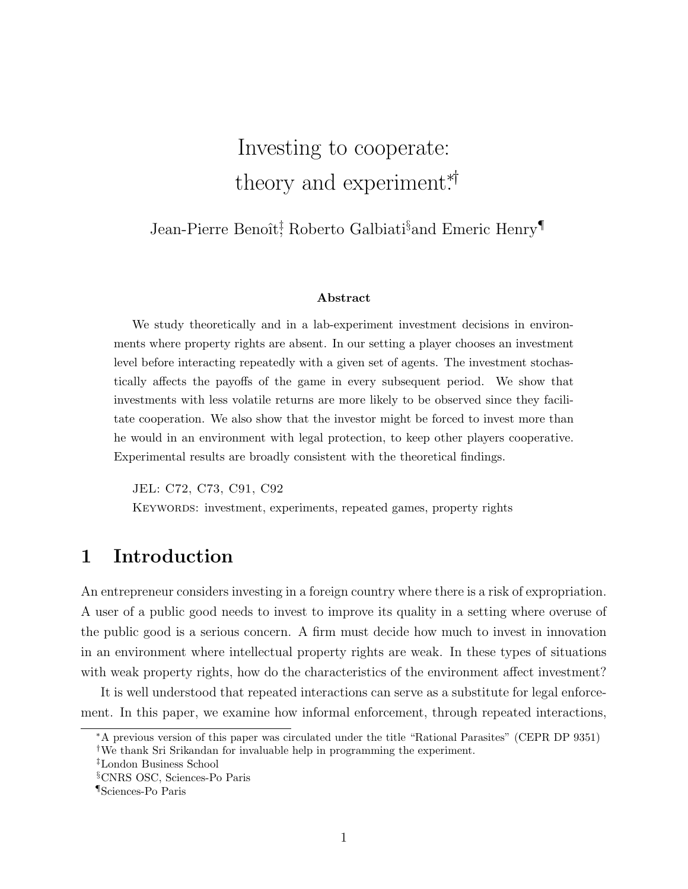# Investing to cooperate: theory and experiment\*<sup>†</sup>

Jean-Pierre Benoît<sup>†</sup>, Roberto Galbiati<sup>§</sup>and Emeric Henry<sup>¶</sup>

#### Abstract

We study theoretically and in a lab-experiment investment decisions in environments where property rights are absent. In our setting a player chooses an investment level before interacting repeatedly with a given set of agents. The investment stochastically affects the payoffs of the game in every subsequent period. We show that investments with less volatile returns are more likely to be observed since they facilitate cooperation. We also show that the investor might be forced to invest more than he would in an environment with legal protection, to keep other players cooperative. Experimental results are broadly consistent with the theoretical findings.

JEL: C72, C73, C91, C92 KEYWORDS: investment, experiments, repeated games, property rights

# 1 Introduction

An entrepreneur considers investing in a foreign country where there is a risk of expropriation. A user of a public good needs to invest to improve its quality in a setting where overuse of the public good is a serious concern. A firm must decide how much to invest in innovation in an environment where intellectual property rights are weak. In these types of situations with weak property rights, how do the characteristics of the environment affect investment?

It is well understood that repeated interactions can serve as a substitute for legal enforcement. In this paper, we examine how informal enforcement, through repeated interactions,

<sup>∗</sup>A previous version of this paper was circulated under the title "Rational Parasites" (CEPR DP 9351) †We thank Sri Srikandan for invaluable help in programming the experiment.

<sup>‡</sup>London Business School

<sup>§</sup>CNRS OSC, Sciences-Po Paris

<sup>¶</sup>Sciences-Po Paris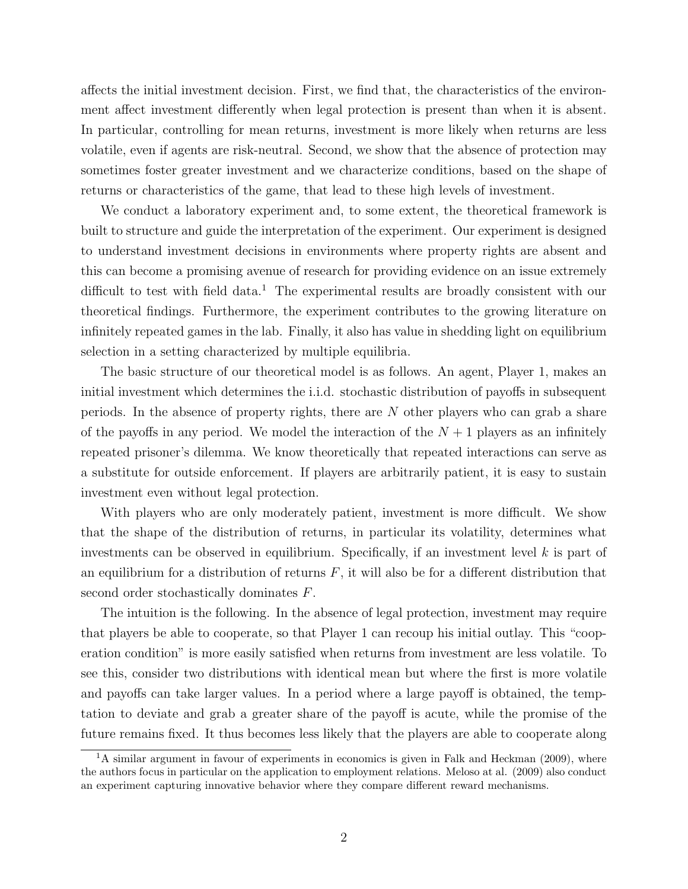affects the initial investment decision. First, we find that, the characteristics of the environment affect investment differently when legal protection is present than when it is absent. In particular, controlling for mean returns, investment is more likely when returns are less volatile, even if agents are risk-neutral. Second, we show that the absence of protection may sometimes foster greater investment and we characterize conditions, based on the shape of returns or characteristics of the game, that lead to these high levels of investment.

We conduct a laboratory experiment and, to some extent, the theoretical framework is built to structure and guide the interpretation of the experiment. Our experiment is designed to understand investment decisions in environments where property rights are absent and this can become a promising avenue of research for providing evidence on an issue extremely difficult to test with field data.<sup>1</sup> The experimental results are broadly consistent with our theoretical findings. Furthermore, the experiment contributes to the growing literature on infinitely repeated games in the lab. Finally, it also has value in shedding light on equilibrium selection in a setting characterized by multiple equilibria.

The basic structure of our theoretical model is as follows. An agent, Player 1, makes an initial investment which determines the i.i.d. stochastic distribution of payoffs in subsequent periods. In the absence of property rights, there are  $N$  other players who can grab a share of the payoffs in any period. We model the interaction of the  $N+1$  players as an infinitely repeated prisoner's dilemma. We know theoretically that repeated interactions can serve as a substitute for outside enforcement. If players are arbitrarily patient, it is easy to sustain investment even without legal protection.

With players who are only moderately patient, investment is more difficult. We show that the shape of the distribution of returns, in particular its volatility, determines what investments can be observed in equilibrium. Specifically, if an investment level  $k$  is part of an equilibrium for a distribution of returns  $F$ , it will also be for a different distribution that second order stochastically dominates F.

The intuition is the following. In the absence of legal protection, investment may require that players be able to cooperate, so that Player 1 can recoup his initial outlay. This "cooperation condition" is more easily satisfied when returns from investment are less volatile. To see this, consider two distributions with identical mean but where the first is more volatile and payoffs can take larger values. In a period where a large payoff is obtained, the temptation to deviate and grab a greater share of the payoff is acute, while the promise of the future remains fixed. It thus becomes less likely that the players are able to cooperate along

 $1<sup>1</sup>A$  similar argument in favour of experiments in economics is given in Falk and Heckman (2009), where the authors focus in particular on the application to employment relations. Meloso at al. (2009) also conduct an experiment capturing innovative behavior where they compare different reward mechanisms.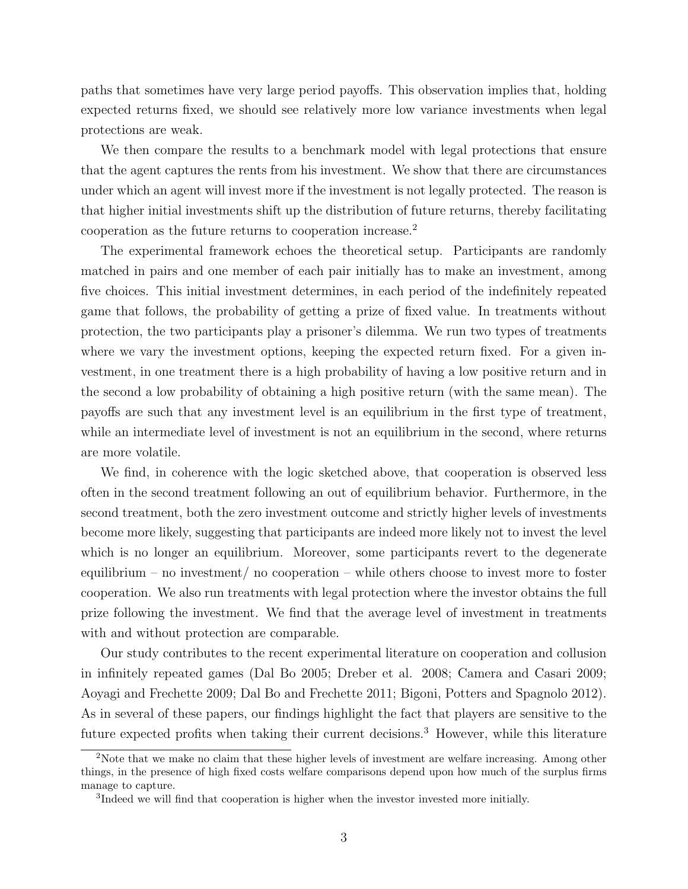paths that sometimes have very large period payoffs. This observation implies that, holding expected returns fixed, we should see relatively more low variance investments when legal protections are weak.

We then compare the results to a benchmark model with legal protections that ensure that the agent captures the rents from his investment. We show that there are circumstances under which an agent will invest more if the investment is not legally protected. The reason is that higher initial investments shift up the distribution of future returns, thereby facilitating cooperation as the future returns to cooperation increase.<sup>2</sup>

The experimental framework echoes the theoretical setup. Participants are randomly matched in pairs and one member of each pair initially has to make an investment, among five choices. This initial investment determines, in each period of the indefinitely repeated game that follows, the probability of getting a prize of fixed value. In treatments without protection, the two participants play a prisoner's dilemma. We run two types of treatments where we vary the investment options, keeping the expected return fixed. For a given investment, in one treatment there is a high probability of having a low positive return and in the second a low probability of obtaining a high positive return (with the same mean). The payoffs are such that any investment level is an equilibrium in the first type of treatment, while an intermediate level of investment is not an equilibrium in the second, where returns are more volatile.

We find, in coherence with the logic sketched above, that cooperation is observed less often in the second treatment following an out of equilibrium behavior. Furthermore, in the second treatment, both the zero investment outcome and strictly higher levels of investments become more likely, suggesting that participants are indeed more likely not to invest the level which is no longer an equilibrium. Moreover, some participants revert to the degenerate equilibrium – no investment/ no cooperation – while others choose to invest more to foster cooperation. We also run treatments with legal protection where the investor obtains the full prize following the investment. We find that the average level of investment in treatments with and without protection are comparable.

Our study contributes to the recent experimental literature on cooperation and collusion in infinitely repeated games (Dal Bo 2005; Dreber et al. 2008; Camera and Casari 2009; Aoyagi and Frechette 2009; Dal Bo and Frechette 2011; Bigoni, Potters and Spagnolo 2012). As in several of these papers, our findings highlight the fact that players are sensitive to the future expected profits when taking their current decisions.<sup>3</sup> However, while this literature

<sup>&</sup>lt;sup>2</sup>Note that we make no claim that these higher levels of investment are welfare increasing. Among other things, in the presence of high fixed costs welfare comparisons depend upon how much of the surplus firms manage to capture.

<sup>&</sup>lt;sup>3</sup>Indeed we will find that cooperation is higher when the investor invested more initially.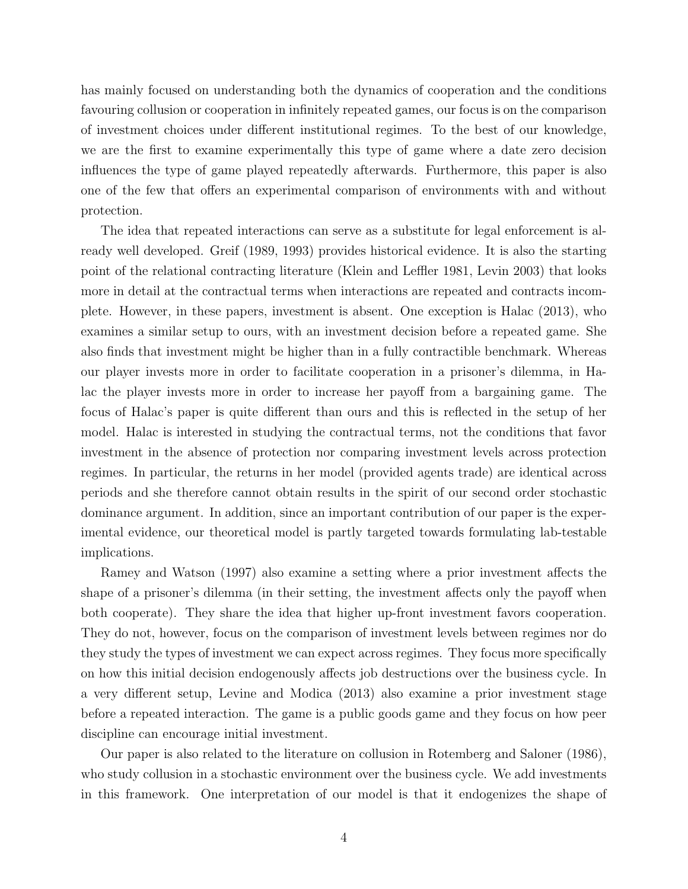has mainly focused on understanding both the dynamics of cooperation and the conditions favouring collusion or cooperation in infinitely repeated games, our focus is on the comparison of investment choices under different institutional regimes. To the best of our knowledge, we are the first to examine experimentally this type of game where a date zero decision influences the type of game played repeatedly afterwards. Furthermore, this paper is also one of the few that offers an experimental comparison of environments with and without protection.

The idea that repeated interactions can serve as a substitute for legal enforcement is already well developed. Greif (1989, 1993) provides historical evidence. It is also the starting point of the relational contracting literature (Klein and Leffler 1981, Levin 2003) that looks more in detail at the contractual terms when interactions are repeated and contracts incomplete. However, in these papers, investment is absent. One exception is Halac (2013), who examines a similar setup to ours, with an investment decision before a repeated game. She also finds that investment might be higher than in a fully contractible benchmark. Whereas our player invests more in order to facilitate cooperation in a prisoner's dilemma, in Halac the player invests more in order to increase her payoff from a bargaining game. The focus of Halac's paper is quite different than ours and this is reflected in the setup of her model. Halac is interested in studying the contractual terms, not the conditions that favor investment in the absence of protection nor comparing investment levels across protection regimes. In particular, the returns in her model (provided agents trade) are identical across periods and she therefore cannot obtain results in the spirit of our second order stochastic dominance argument. In addition, since an important contribution of our paper is the experimental evidence, our theoretical model is partly targeted towards formulating lab-testable implications.

Ramey and Watson (1997) also examine a setting where a prior investment affects the shape of a prisoner's dilemma (in their setting, the investment affects only the payoff when both cooperate). They share the idea that higher up-front investment favors cooperation. They do not, however, focus on the comparison of investment levels between regimes nor do they study the types of investment we can expect across regimes. They focus more specifically on how this initial decision endogenously affects job destructions over the business cycle. In a very different setup, Levine and Modica (2013) also examine a prior investment stage before a repeated interaction. The game is a public goods game and they focus on how peer discipline can encourage initial investment.

Our paper is also related to the literature on collusion in Rotemberg and Saloner (1986), who study collusion in a stochastic environment over the business cycle. We add investments in this framework. One interpretation of our model is that it endogenizes the shape of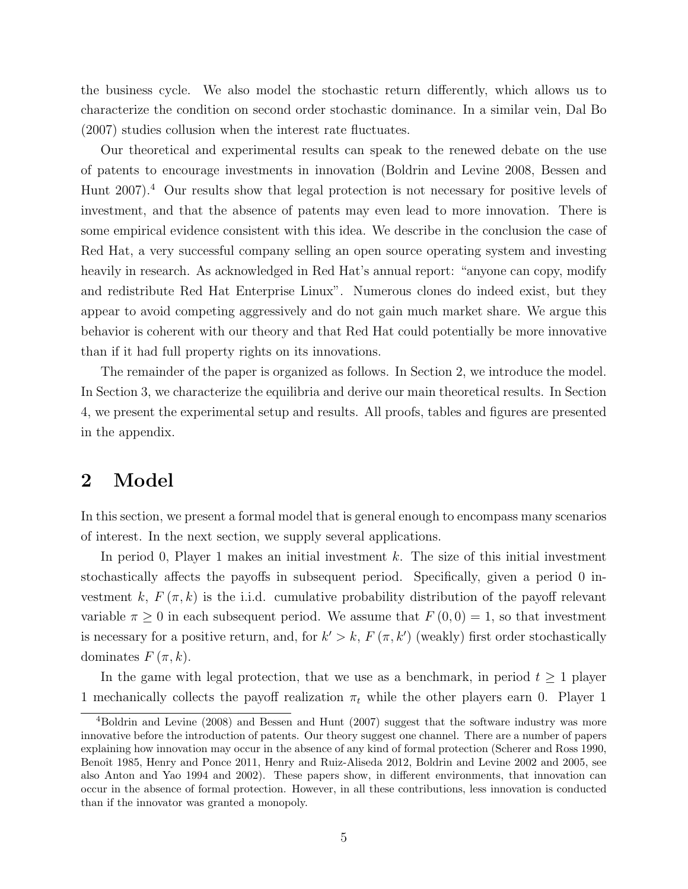the business cycle. We also model the stochastic return differently, which allows us to characterize the condition on second order stochastic dominance. In a similar vein, Dal Bo (2007) studies collusion when the interest rate fluctuates.

Our theoretical and experimental results can speak to the renewed debate on the use of patents to encourage investments in innovation (Boldrin and Levine 2008, Bessen and Hunt 2007).<sup>4</sup> Our results show that legal protection is not necessary for positive levels of investment, and that the absence of patents may even lead to more innovation. There is some empirical evidence consistent with this idea. We describe in the conclusion the case of Red Hat, a very successful company selling an open source operating system and investing heavily in research. As acknowledged in Red Hat's annual report: "anyone can copy, modify and redistribute Red Hat Enterprise Linux". Numerous clones do indeed exist, but they appear to avoid competing aggressively and do not gain much market share. We argue this behavior is coherent with our theory and that Red Hat could potentially be more innovative than if it had full property rights on its innovations.

The remainder of the paper is organized as follows. In Section 2, we introduce the model. In Section 3, we characterize the equilibria and derive our main theoretical results. In Section 4, we present the experimental setup and results. All proofs, tables and figures are presented in the appendix.

## 2 Model

In this section, we present a formal model that is general enough to encompass many scenarios of interest. In the next section, we supply several applications.

In period 0, Player 1 makes an initial investment k. The size of this initial investment stochastically affects the payoffs in subsequent period. Specifically, given a period 0 investment k,  $F(\pi, k)$  is the i.i.d. cumulative probability distribution of the payoff relevant variable  $\pi \geq 0$  in each subsequent period. We assume that  $F(0,0) = 1$ , so that investment is necessary for a positive return, and, for  $k' > k$ ,  $F(\pi, k')$  (weakly) first order stochastically dominates  $F(\pi, k)$ .

In the game with legal protection, that we use as a benchmark, in period  $t \geq 1$  player 1 mechanically collects the payoff realization  $\pi_t$  while the other players earn 0. Player 1

<sup>&</sup>lt;sup>4</sup>Boldrin and Levine (2008) and Bessen and Hunt (2007) suggest that the software industry was more innovative before the introduction of patents. Our theory suggest one channel. There are a number of papers explaining how innovation may occur in the absence of any kind of formal protection (Scherer and Ross 1990, Benoît 1985, Henry and Ponce 2011, Henry and Ruiz-Aliseda 2012, Boldrin and Levine 2002 and 2005, see also Anton and Yao 1994 and 2002). These papers show, in different environments, that innovation can occur in the absence of formal protection. However, in all these contributions, less innovation is conducted than if the innovator was granted a monopoly.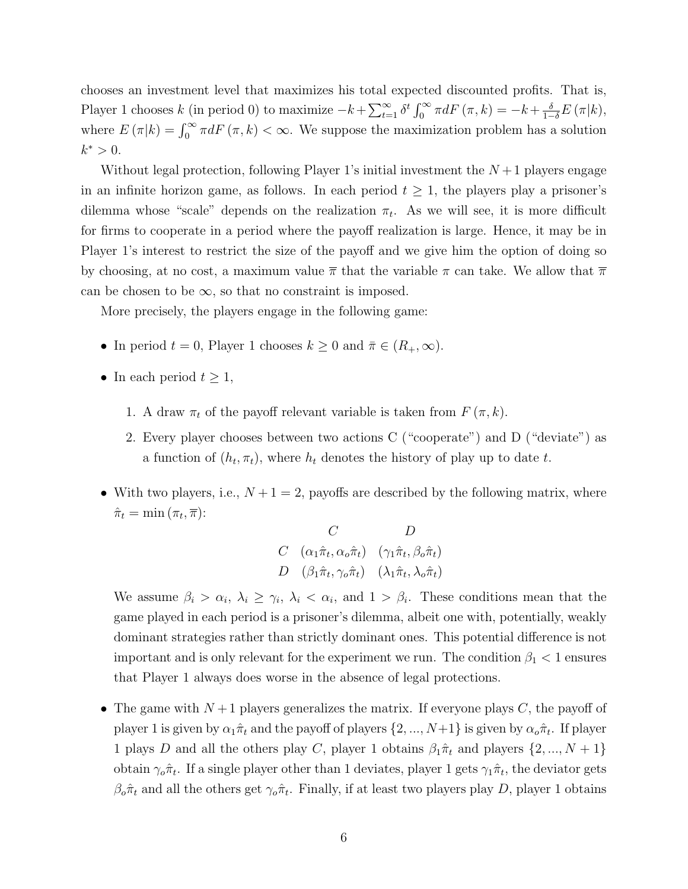chooses an investment level that maximizes his total expected discounted profits. That is, Player 1 chooses k (in period 0) to maximize  $-k+\sum_{t=1}^{\infty} \delta^t \int_0^{\infty} \pi dF(\pi, k) = -k+\frac{\delta}{1-\delta}E(\pi|k)$ , where  $E(\pi|k) = \int_0^\infty \pi dF(\pi, k) < \infty$ . We suppose the maximization problem has a solution  $k^* > 0$ .

Without legal protection, following Player 1's initial investment the  $N+1$  players engage in an infinite horizon game, as follows. In each period  $t \geq 1$ , the players play a prisoner's dilemma whose "scale" depends on the realization  $\pi_t$ . As we will see, it is more difficult for firms to cooperate in a period where the payoff realization is large. Hence, it may be in Player 1's interest to restrict the size of the payoff and we give him the option of doing so by choosing, at no cost, a maximum value  $\bar{\pi}$  that the variable  $\pi$  can take. We allow that  $\bar{\pi}$ can be chosen to be  $\infty$ , so that no constraint is imposed.

More precisely, the players engage in the following game:

- In period  $t = 0$ , Player 1 chooses  $k \geq 0$  and  $\bar{\pi} \in (R_+, \infty)$ .
- In each period  $t \geq 1$ ,
	- 1. A draw  $\pi_t$  of the payoff relevant variable is taken from  $F(\pi, k)$ .
	- 2. Every player chooses between two actions C ("cooperate") and D ("deviate") as a function of  $(h_t, \pi_t)$ , where  $h_t$  denotes the history of play up to date t.
- With two players, i.e.,  $N+1=2$ , payoffs are described by the following matrix, where  $\hat{\pi}_t = \min(\pi_t, \overline{\pi})$ :

$$
\begin{array}{cc}\nC & D \\
C & (\alpha_1 \hat{\pi}_t, \alpha_o \hat{\pi}_t) & (\gamma_1 \hat{\pi}_t, \beta_o \hat{\pi}_t) \\
D & (\beta_1 \hat{\pi}_t, \gamma_o \hat{\pi}_t) & (\lambda_1 \hat{\pi}_t, \lambda_o \hat{\pi}_t)\n\end{array}
$$

We assume  $\beta_i > \alpha_i, \lambda_i \geq \gamma_i, \lambda_i < \alpha_i$ , and  $1 > \beta_i$ . These conditions mean that the game played in each period is a prisoner's dilemma, albeit one with, potentially, weakly dominant strategies rather than strictly dominant ones. This potential difference is not important and is only relevant for the experiment we run. The condition  $\beta_1$  < 1 ensures that Player 1 always does worse in the absence of legal protections.

• The game with  $N+1$  players generalizes the matrix. If everyone plays C, the payoff of player 1 is given by  $\alpha_1\hat{\pi}_t$  and the payoff of players  $\{2, ..., N+1\}$  is given by  $\alpha_o\hat{\pi}_t$ . If player 1 plays D and all the others play C, player 1 obtains  $\beta_1 \hat{\pi}_t$  and players  $\{2, ..., N + 1\}$ obtain  $\gamma_o \hat{\pi}_t$ . If a single player other than 1 deviates, player 1 gets  $\gamma_1 \hat{\pi}_t$ , the deviator gets  $\beta_o \hat{\pi}_t$  and all the others get  $\gamma_o \hat{\pi}_t$ . Finally, if at least two players play D, player 1 obtains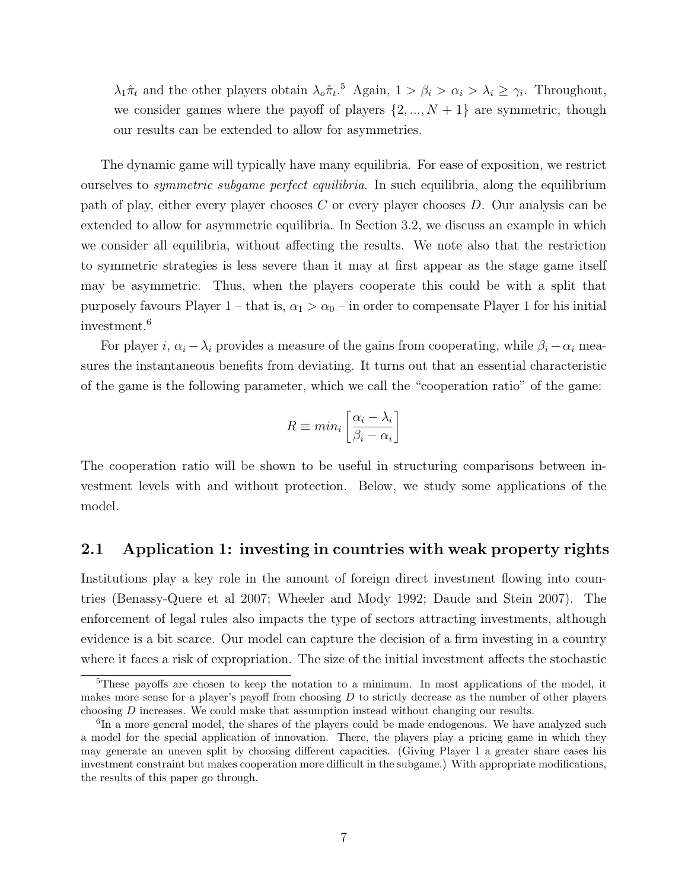$\lambda_1 \hat{\pi}_t$  and the other players obtain  $\lambda_o \hat{\pi}_t$ <sup>5</sup> Again,  $1 > \beta_i > \alpha_i > \lambda_i \geq \gamma_i$ . Throughout, we consider games where the payoff of players  $\{2, ..., N + 1\}$  are symmetric, though our results can be extended to allow for asymmetries.

The dynamic game will typically have many equilibria. For ease of exposition, we restrict ourselves to symmetric subgame perfect equilibria. In such equilibria, along the equilibrium path of play, either every player chooses C or every player chooses D. Our analysis can be extended to allow for asymmetric equilibria. In Section 3.2, we discuss an example in which we consider all equilibria, without affecting the results. We note also that the restriction to symmetric strategies is less severe than it may at first appear as the stage game itself may be asymmetric. Thus, when the players cooperate this could be with a split that purposely favours Player 1 – that is,  $\alpha_1 > \alpha_0$  – in order to compensate Player 1 for his initial investment.<sup>6</sup>

For player i,  $\alpha_i - \lambda_i$  provides a measure of the gains from cooperating, while  $\beta_i - \alpha_i$  measures the instantaneous benefits from deviating. It turns out that an essential characteristic of the game is the following parameter, which we call the "cooperation ratio" of the game:

$$
R \equiv min_i \left[ \frac{\alpha_i - \lambda_i}{\beta_i - \alpha_i} \right]
$$

The cooperation ratio will be shown to be useful in structuring comparisons between investment levels with and without protection. Below, we study some applications of the model.

## 2.1 Application 1: investing in countries with weak property rights

Institutions play a key role in the amount of foreign direct investment flowing into countries (Benassy-Quere et al 2007; Wheeler and Mody 1992; Daude and Stein 2007). The enforcement of legal rules also impacts the type of sectors attracting investments, although evidence is a bit scarce. Our model can capture the decision of a firm investing in a country where it faces a risk of expropriation. The size of the initial investment affects the stochastic

<sup>5</sup>These payoffs are chosen to keep the notation to a minimum. In most applications of the model, it makes more sense for a player's payoff from choosing  $D$  to strictly decrease as the number of other players choosing D increases. We could make that assumption instead without changing our results.

<sup>&</sup>lt;sup>6</sup>In a more general model, the shares of the players could be made endogenous. We have analyzed such a model for the special application of innovation. There, the players play a pricing game in which they may generate an uneven split by choosing different capacities. (Giving Player 1 a greater share eases his investment constraint but makes cooperation more difficult in the subgame.) With appropriate modifications, the results of this paper go through.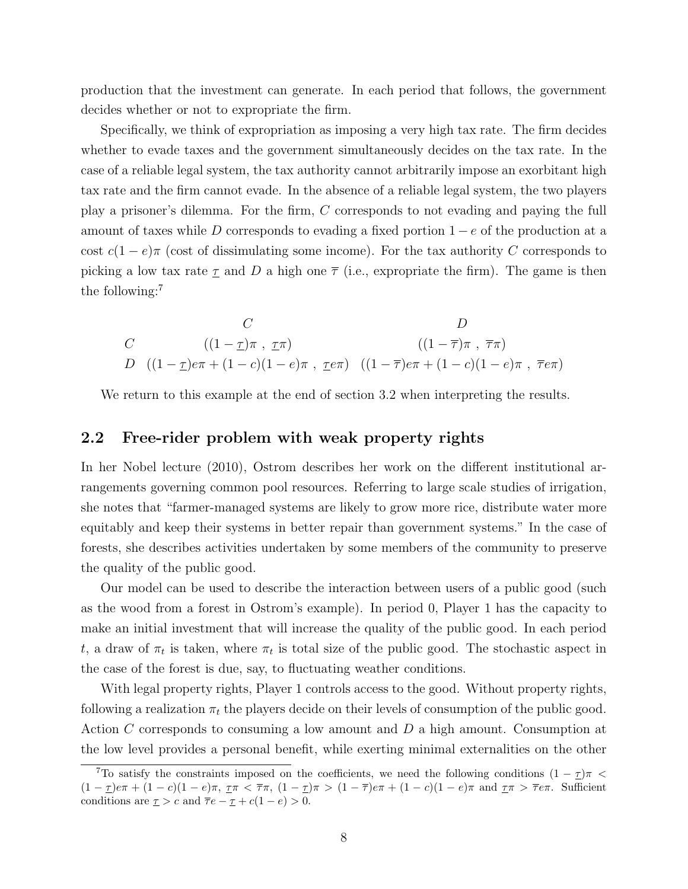production that the investment can generate. In each period that follows, the government decides whether or not to expropriate the firm.

Specifically, we think of expropriation as imposing a very high tax rate. The firm decides whether to evade taxes and the government simultaneously decides on the tax rate. In the case of a reliable legal system, the tax authority cannot arbitrarily impose an exorbitant high tax rate and the firm cannot evade. In the absence of a reliable legal system, the two players play a prisoner's dilemma. For the firm, C corresponds to not evading and paying the full amount of taxes while D corresponds to evading a fixed portion  $1 - e$  of the production at a cost  $c(1-e)\pi$  (cost of dissimulating some income). For the tax authority C corresponds to picking a low tax rate  $\tau$  and D a high one  $\bar{\tau}$  (i.e., expropriate the firm). The game is then the following:<sup>7</sup>

$$
C
$$
  
\n
$$
C
$$
  
\n
$$
C
$$
  
\n
$$
C
$$
  
\n
$$
C
$$
  
\n
$$
C
$$
  
\n
$$
C
$$
  
\n
$$
C
$$
  
\n
$$
C
$$
  
\n
$$
C
$$
  
\n
$$
C
$$
  
\n
$$
C
$$
  
\n
$$
C
$$
  
\n
$$
C
$$
  
\n
$$
C
$$
  
\n
$$
C
$$
  
\n
$$
C
$$
  
\n
$$
C
$$
  
\n
$$
C
$$
  
\n
$$
C
$$
  
\n
$$
C
$$
  
\n
$$
C
$$
  
\n
$$
C
$$
  
\n
$$
C
$$
  
\n
$$
C
$$
  
\n
$$
C
$$
  
\n
$$
C
$$
  
\n
$$
C
$$
  
\n
$$
C
$$
  
\n
$$
C
$$
  
\n
$$
C
$$
  
\n
$$
C
$$
  
\n
$$
C
$$
  
\n
$$
C
$$
  
\n
$$
C
$$
  
\n
$$
C
$$
  
\n
$$
C
$$
  
\n
$$
C
$$
  
\n
$$
C
$$
  
\n
$$
C
$$
  
\n
$$
C
$$
  
\n
$$
C
$$
  
\n
$$
C
$$
  
\n
$$
C
$$
  
\n
$$
C
$$
  
\n
$$
C
$$
  
\n
$$
C
$$
  
\n
$$
C
$$
  
\n
$$
C
$$
  
\n
$$
C
$$
  
\n
$$
C
$$
  
\n
$$
C
$$
  
\n
$$
C
$$
  
\n
$$
C
$$
  
\n
$$
C
$$
  
\n
$$
C
$$
  
\n
$$
C
$$
  
\n
$$
C
$$
  
\n
$$
C
$$

We return to this example at the end of section 3.2 when interpreting the results.

## 2.2 Free-rider problem with weak property rights

In her Nobel lecture (2010), Ostrom describes her work on the different institutional arrangements governing common pool resources. Referring to large scale studies of irrigation, she notes that "farmer-managed systems are likely to grow more rice, distribute water more equitably and keep their systems in better repair than government systems." In the case of forests, she describes activities undertaken by some members of the community to preserve the quality of the public good.

Our model can be used to describe the interaction between users of a public good (such as the wood from a forest in Ostrom's example). In period 0, Player 1 has the capacity to make an initial investment that will increase the quality of the public good. In each period t, a draw of  $\pi_t$  is taken, where  $\pi_t$  is total size of the public good. The stochastic aspect in the case of the forest is due, say, to fluctuating weather conditions.

With legal property rights, Player 1 controls access to the good. Without property rights, following a realization  $\pi_t$  the players decide on their levels of consumption of the public good. Action C corresponds to consuming a low amount and D a high amount. Consumption at the low level provides a personal benefit, while exerting minimal externalities on the other

<sup>&</sup>lt;sup>7</sup>To satisfy the constraints imposed on the coefficients, we need the following conditions  $(1 - \tau)\pi$  $(1 - \underline{\tau})e\pi + (1 - c)(1 - e)\pi$ ,  $\underline{\tau}\pi < \overline{\tau}\pi$ ,  $(1 - \underline{\tau})\pi > (1 - \overline{\tau})e\pi + (1 - c)(1 - e)\pi$  and  $\underline{\tau}\pi > \overline{\tau}e\pi$ . Sufficient conditions are  $\underline{\tau} > c$  and  $\overline{\tau}e - \underline{\tau} + c(1 - e) > 0$ .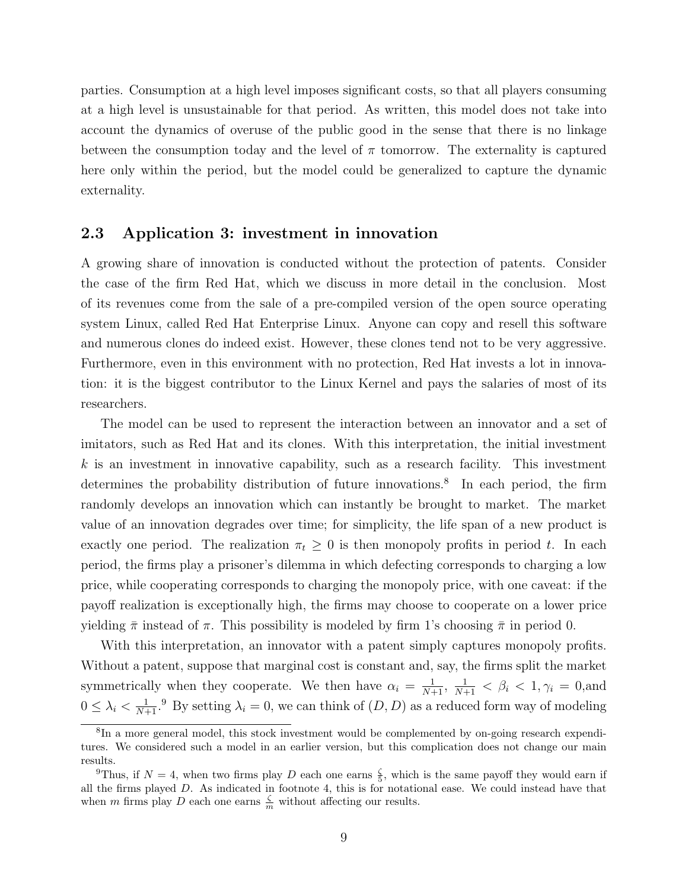parties. Consumption at a high level imposes significant costs, so that all players consuming at a high level is unsustainable for that period. As written, this model does not take into account the dynamics of overuse of the public good in the sense that there is no linkage between the consumption today and the level of  $\pi$  tomorrow. The externality is captured here only within the period, but the model could be generalized to capture the dynamic externality.

#### 2.3 Application 3: investment in innovation

A growing share of innovation is conducted without the protection of patents. Consider the case of the firm Red Hat, which we discuss in more detail in the conclusion. Most of its revenues come from the sale of a pre-compiled version of the open source operating system Linux, called Red Hat Enterprise Linux. Anyone can copy and resell this software and numerous clones do indeed exist. However, these clones tend not to be very aggressive. Furthermore, even in this environment with no protection, Red Hat invests a lot in innovation: it is the biggest contributor to the Linux Kernel and pays the salaries of most of its researchers.

The model can be used to represent the interaction between an innovator and a set of imitators, such as Red Hat and its clones. With this interpretation, the initial investment  $k$  is an investment in innovative capability, such as a research facility. This investment determines the probability distribution of future innovations.<sup>8</sup> In each period, the firm randomly develops an innovation which can instantly be brought to market. The market value of an innovation degrades over time; for simplicity, the life span of a new product is exactly one period. The realization  $\pi_t \geq 0$  is then monopoly profits in period t. In each period, the firms play a prisoner's dilemma in which defecting corresponds to charging a low price, while cooperating corresponds to charging the monopoly price, with one caveat: if the payoff realization is exceptionally high, the firms may choose to cooperate on a lower price yielding  $\bar{\pi}$  instead of  $\pi$ . This possibility is modeled by firm 1's choosing  $\bar{\pi}$  in period 0.

With this interpretation, an innovator with a patent simply captures monopoly profits. Without a patent, suppose that marginal cost is constant and, say, the firms split the market symmetrically when they cooperate. We then have  $\alpha_i = \frac{1}{N+1}$ ,  $\frac{1}{N+1} < \beta_i < 1$ ,  $\gamma_i = 0$ , and  $0 \leq \lambda_i < \frac{1}{N+1}$ .<sup>9</sup> By setting  $\lambda_i = 0$ , we can think of  $(D, D)$  as a reduced form way of modeling

<sup>&</sup>lt;sup>8</sup>In a more general model, this stock investment would be complemented by on-going research expenditures. We considered such a model in an earlier version, but this complication does not change our main results.

<sup>&</sup>lt;sup>9</sup>Thus, if  $N = 4$ , when two firms play D each one earns  $\frac{5}{5}$ , which is the same payoff they would earn if all the firms played  $D$ . As indicated in footnote 4, this is for notational ease. We could instead have that when m firms play D each one earns  $\frac{\zeta}{m}$  without affecting our results.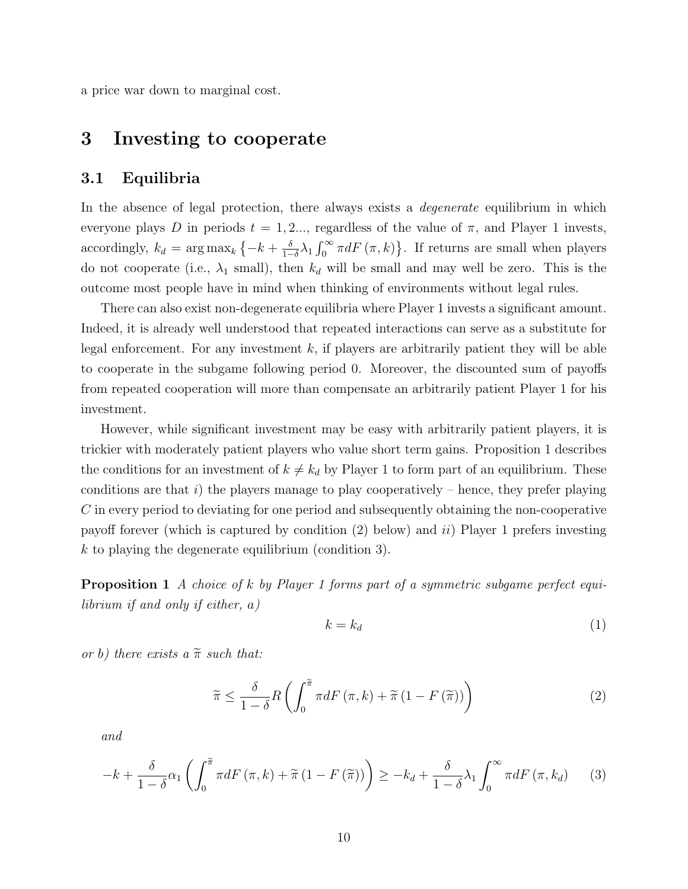a price war down to marginal cost.

# 3 Investing to cooperate

## 3.1 Equilibria

In the absence of legal protection, there always exists a *degenerate* equilibrium in which everyone plays D in periods  $t = 1, 2, \ldots$ , regardless of the value of  $\pi$ , and Player 1 invests, accordingly,  $k_d = \arg \max_k \left\{-k + \frac{\delta}{1-\delta}\right\}$  $\frac{\delta}{1-\delta}\lambda_1 \int_0^\infty \pi dF(\pi, k)$ . If returns are small when players do not cooperate (i.e.,  $\lambda_1$  small), then  $k_d$  will be small and may well be zero. This is the outcome most people have in mind when thinking of environments without legal rules.

There can also exist non-degenerate equilibria where Player 1 invests a significant amount. Indeed, it is already well understood that repeated interactions can serve as a substitute for legal enforcement. For any investment  $k$ , if players are arbitrarily patient they will be able to cooperate in the subgame following period 0. Moreover, the discounted sum of payoffs from repeated cooperation will more than compensate an arbitrarily patient Player 1 for his investment.

However, while significant investment may be easy with arbitrarily patient players, it is trickier with moderately patient players who value short term gains. Proposition 1 describes the conditions for an investment of  $k \neq k_d$  by Player 1 to form part of an equilibrium. These conditions are that i) the players manage to play cooperatively – hence, they prefer playing C in every period to deviating for one period and subsequently obtaining the non-cooperative payoff forever (which is captured by condition  $(2)$  below) and  $ii)$  Player 1 prefers investing k to playing the degenerate equilibrium (condition 3).

Proposition 1 A choice of k by Player 1 forms part of a symmetric subgame perfect equilibrium if and only if either,  $a)$ 

$$
k = k_d \tag{1}
$$

or b) there exists a  $\tilde{\pi}$  such that:

$$
\widetilde{\pi} \le \frac{\delta}{1-\delta} R\left(\int_0^{\widetilde{\pi}} \pi dF\left(\pi, k\right) + \widetilde{\pi}\left(1 - F\left(\widetilde{\pi}\right)\right)\right) \tag{2}
$$

and

$$
-k + \frac{\delta}{1-\delta}\alpha_1 \left( \int_0^{\tilde{\pi}} \pi dF\left(\pi, k\right) + \tilde{\pi}\left(1 - F\left(\tilde{\pi}\right)\right) \right) \geq -k_d + \frac{\delta}{1-\delta}\lambda_1 \int_0^{\infty} \pi dF\left(\pi, k_d\right) \tag{3}
$$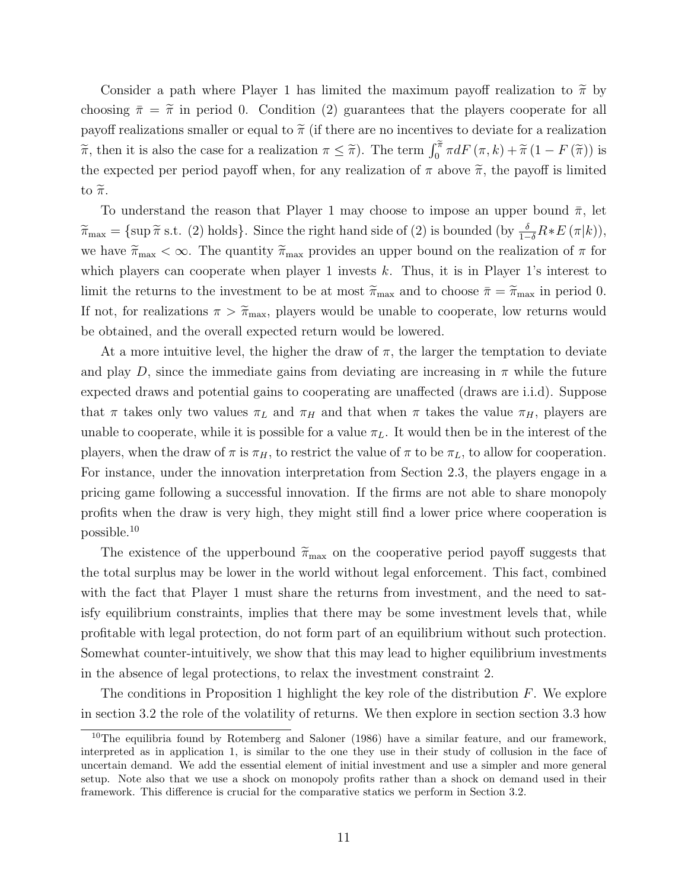Consider a path where Player 1 has limited the maximum payoff realization to  $\tilde{\pi}$  by choosing  $\bar{\pi} = \tilde{\pi}$  in period 0. Condition (2) guarantees that the players cooperate for all payoff realizations smaller or equal to  $\tilde{\pi}$  (if there are no incentives to deviate for a realization  $\widetilde{\pi}$ , then it is also the case for a realization  $\pi \leq \widetilde{\pi}$ ). The term  $\int_0^{\widetilde{\pi}} \pi dF(\pi, k) + \widetilde{\pi}(1 - F(\widetilde{\pi}))$  is the expected per period payoff when, for any realization of  $\pi$  above  $\widetilde{\pi}$ , the payoff is limited to  $\widetilde{\pi}$ .

To understand the reason that Player 1 may choose to impose an upper bound  $\bar{\pi}$ , let  $\widetilde{\pi}_{\text{max}} = \{\sup \widetilde{\pi} \text{ s.t. } (2) \text{ holds}\}.$  Since the right hand side of  $(2)$  is bounded  $(\text{by } \frac{\delta}{1-\delta}R * E(\pi|k)),$ we have  $\tilde{\pi}_{\text{max}} < \infty$ . The quantity  $\tilde{\pi}_{\text{max}}$  provides an upper bound on the realization of  $\pi$  for which players can cooperate when player 1 invests  $k$ . Thus, it is in Player 1's interest to limit the returns to the investment to be at most  $\tilde{\pi}_{\text{max}}$  and to choose  $\bar{\pi} = \tilde{\pi}_{\text{max}}$  in period 0. If not, for realizations  $\pi > \tilde{\pi}_{\text{max}}$ , players would be unable to cooperate, low returns would be obtained, and the overall expected return would be lowered.

At a more intuitive level, the higher the draw of  $\pi$ , the larger the temptation to deviate and play D, since the immediate gains from deviating are increasing in  $\pi$  while the future expected draws and potential gains to cooperating are unaffected (draws are i.i.d). Suppose that  $\pi$  takes only two values  $\pi_L$  and  $\pi_H$  and that when  $\pi$  takes the value  $\pi_H$ , players are unable to cooperate, while it is possible for a value  $\pi_L$ . It would then be in the interest of the players, when the draw of  $\pi$  is  $\pi_H$ , to restrict the value of  $\pi$  to be  $\pi_L$ , to allow for cooperation. For instance, under the innovation interpretation from Section 2.3, the players engage in a pricing game following a successful innovation. If the firms are not able to share monopoly profits when the draw is very high, they might still find a lower price where cooperation is possible.<sup>10</sup>

The existence of the upperbound  $\widetilde{\pi}_{\text{max}}$  on the cooperative period payoff suggests that the total surplus may be lower in the world without legal enforcement. This fact, combined with the fact that Player 1 must share the returns from investment, and the need to satisfy equilibrium constraints, implies that there may be some investment levels that, while profitable with legal protection, do not form part of an equilibrium without such protection. Somewhat counter-intuitively, we show that this may lead to higher equilibrium investments in the absence of legal protections, to relax the investment constraint 2.

The conditions in Proposition 1 highlight the key role of the distribution  $F$ . We explore in section 3.2 the role of the volatility of returns. We then explore in section section 3.3 how

<sup>&</sup>lt;sup>10</sup>The equilibria found by Rotemberg and Saloner (1986) have a similar feature, and our framework, interpreted as in application 1, is similar to the one they use in their study of collusion in the face of uncertain demand. We add the essential element of initial investment and use a simpler and more general setup. Note also that we use a shock on monopoly profits rather than a shock on demand used in their framework. This difference is crucial for the comparative statics we perform in Section 3.2.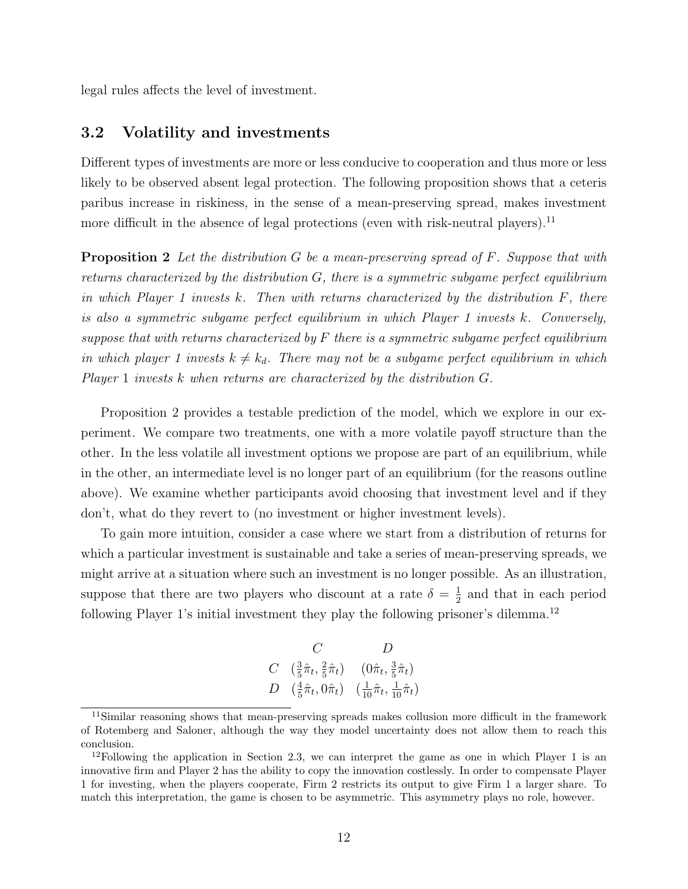legal rules affects the level of investment.

## 3.2 Volatility and investments

Different types of investments are more or less conducive to cooperation and thus more or less likely to be observed absent legal protection. The following proposition shows that a ceteris paribus increase in riskiness, in the sense of a mean-preserving spread, makes investment more difficult in the absence of legal protections (even with risk-neutral players).<sup>11</sup>

**Proposition 2** Let the distribution G be a mean-preserving spread of F. Suppose that with returns characterized by the distribution  $G$ , there is a symmetric subgame perfect equilibrium in which Player 1 invests  $k$ . Then with returns characterized by the distribution  $F$ , there is also a symmetric subgame perfect equilibrium in which Player 1 invests k. Conversely, suppose that with returns characterized by  $F$  there is a symmetric subgame perfect equilibrium in which player 1 invests  $k \neq k_d$ . There may not be a subgame perfect equilibrium in which Player 1 invests k when returns are characterized by the distribution G.

Proposition 2 provides a testable prediction of the model, which we explore in our experiment. We compare two treatments, one with a more volatile payoff structure than the other. In the less volatile all investment options we propose are part of an equilibrium, while in the other, an intermediate level is no longer part of an equilibrium (for the reasons outline above). We examine whether participants avoid choosing that investment level and if they don't, what do they revert to (no investment or higher investment levels).

To gain more intuition, consider a case where we start from a distribution of returns for which a particular investment is sustainable and take a series of mean-preserving spreads, we might arrive at a situation where such an investment is no longer possible. As an illustration, suppose that there are two players who discount at a rate  $\delta = \frac{1}{2}$  $\frac{1}{2}$  and that in each period following Player 1's initial investment they play the following prisoner's dilemma.<sup>12</sup>

$$
\begin{array}{ccc}\n & C & D \\
C & \left(\frac{3}{5}\hat{\pi}_t, \frac{2}{5}\hat{\pi}_t\right) & \left(0\hat{\pi}_t, \frac{3}{5}\hat{\pi}_t\right) \\
D & \left(\frac{4}{5}\hat{\pi}_t, 0\hat{\pi}_t\right) & \left(\frac{1}{10}\hat{\pi}_t, \frac{1}{10}\hat{\pi}_t\right)\n\end{array}
$$

<sup>&</sup>lt;sup>11</sup>Similar reasoning shows that mean-preserving spreads makes collusion more difficult in the framework of Rotemberg and Saloner, although the way they model uncertainty does not allow them to reach this conclusion.

<sup>&</sup>lt;sup>12</sup>Following the application in Section 2.3, we can interpret the game as one in which Player 1 is an innovative firm and Player 2 has the ability to copy the innovation costlessly. In order to compensate Player 1 for investing, when the players cooperate, Firm 2 restricts its output to give Firm 1 a larger share. To match this interpretation, the game is chosen to be asymmetric. This asymmetry plays no role, however.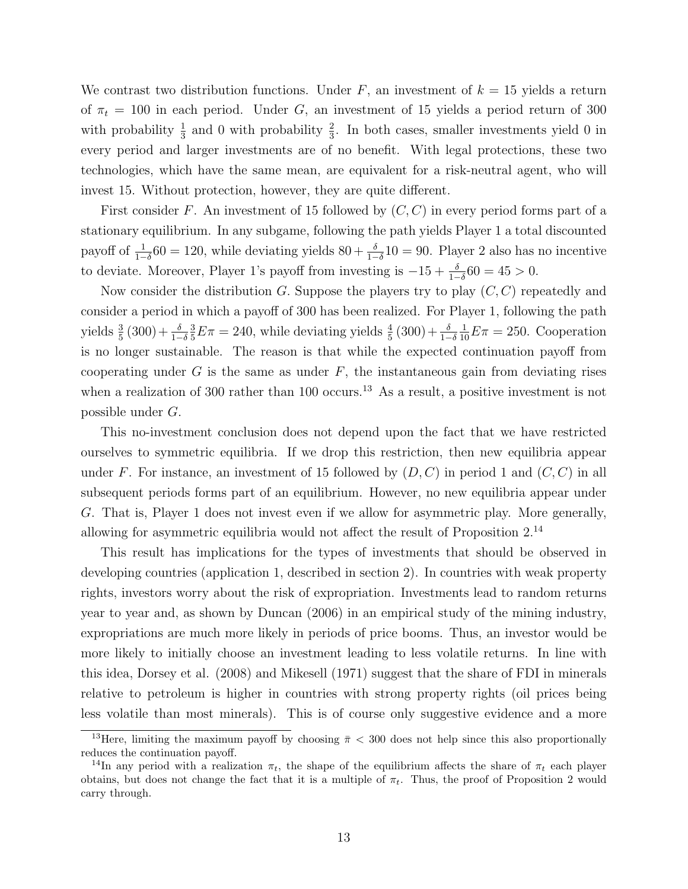We contrast two distribution functions. Under  $F$ , an investment of  $k = 15$  yields a return of  $\pi_t = 100$  in each period. Under G, an investment of 15 yields a period return of 300 with probability  $\frac{1}{3}$  and 0 with probability  $\frac{2}{3}$ . In both cases, smaller investments yield 0 in every period and larger investments are of no benefit. With legal protections, these two technologies, which have the same mean, are equivalent for a risk-neutral agent, who will invest 15. Without protection, however, they are quite different.

First consider F. An investment of 15 followed by  $(C, C)$  in every period forms part of a stationary equilibrium. In any subgame, following the path yields Player 1 a total discounted payoff of  $\frac{1}{1-\delta}$ 60 = 120, while deviating yields 80 +  $\frac{\delta}{1-\delta}$ 10 = 90. Player 2 also has no incentive to deviate. Moreover, Player 1's payoff from investing is  $-15 + \frac{\delta}{1-\delta}60 = 45 > 0$ .

Now consider the distribution G. Suppose the players try to play  $(C, C)$  repeatedly and consider a period in which a payoff of 300 has been realized. For Player 1, following the path yields  $\frac{3}{5}(300) + \frac{\delta}{1-\delta}$  $\frac{3}{5}E\pi = 240$ , while deviating yields  $\frac{4}{5}(300) + \frac{\delta}{1-\delta}$  $\frac{1}{10}E\pi = 250$ . Cooperation is no longer sustainable. The reason is that while the expected continuation payoff from cooperating under  $G$  is the same as under  $F$ , the instantaneous gain from deviating rises when a realization of 300 rather than 100 occurs.<sup>13</sup> As a result, a positive investment is not possible under G.

This no-investment conclusion does not depend upon the fact that we have restricted ourselves to symmetric equilibria. If we drop this restriction, then new equilibria appear under F. For instance, an investment of 15 followed by  $(D, C)$  in period 1 and  $(C, C)$  in all subsequent periods forms part of an equilibrium. However, no new equilibria appear under G. That is, Player 1 does not invest even if we allow for asymmetric play. More generally, allowing for asymmetric equilibria would not affect the result of Proposition 2.<sup>14</sup>

This result has implications for the types of investments that should be observed in developing countries (application 1, described in section 2). In countries with weak property rights, investors worry about the risk of expropriation. Investments lead to random returns year to year and, as shown by Duncan (2006) in an empirical study of the mining industry, expropriations are much more likely in periods of price booms. Thus, an investor would be more likely to initially choose an investment leading to less volatile returns. In line with this idea, Dorsey et al. (2008) and Mikesell (1971) suggest that the share of FDI in minerals relative to petroleum is higher in countries with strong property rights (oil prices being less volatile than most minerals). This is of course only suggestive evidence and a more

<sup>&</sup>lt;sup>13</sup>Here, limiting the maximum payoff by choosing  $\bar{\pi}$  < 300 does not help since this also proportionally reduces the continuation payoff.

<sup>&</sup>lt;sup>14</sup>In any period with a realization  $\pi_t$ , the shape of the equilibrium affects the share of  $\pi_t$  each player obtains, but does not change the fact that it is a multiple of  $\pi_t$ . Thus, the proof of Proposition 2 would carry through.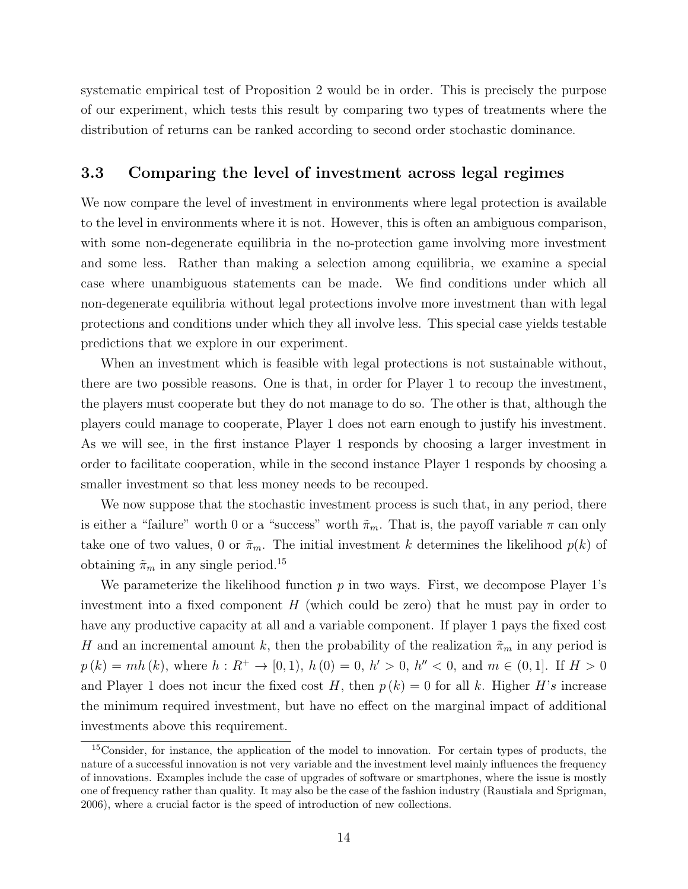systematic empirical test of Proposition 2 would be in order. This is precisely the purpose of our experiment, which tests this result by comparing two types of treatments where the distribution of returns can be ranked according to second order stochastic dominance.

#### 3.3 Comparing the level of investment across legal regimes

We now compare the level of investment in environments where legal protection is available to the level in environments where it is not. However, this is often an ambiguous comparison, with some non-degenerate equilibria in the no-protection game involving more investment and some less. Rather than making a selection among equilibria, we examine a special case where unambiguous statements can be made. We find conditions under which all non-degenerate equilibria without legal protections involve more investment than with legal protections and conditions under which they all involve less. This special case yields testable predictions that we explore in our experiment.

When an investment which is feasible with legal protections is not sustainable without, there are two possible reasons. One is that, in order for Player 1 to recoup the investment, the players must cooperate but they do not manage to do so. The other is that, although the players could manage to cooperate, Player 1 does not earn enough to justify his investment. As we will see, in the first instance Player 1 responds by choosing a larger investment in order to facilitate cooperation, while in the second instance Player 1 responds by choosing a smaller investment so that less money needs to be recouped.

We now suppose that the stochastic investment process is such that, in any period, there is either a "failure" worth 0 or a "success" worth  $\tilde{\pi}_m$ . That is, the payoff variable  $\pi$  can only take one of two values, 0 or  $\tilde{\pi}_m$ . The initial investment k determines the likelihood  $p(k)$  of obtaining  $\tilde{\pi}_m$  in any single period.  $^{15}$ 

We parameterize the likelihood function  $p$  in two ways. First, we decompose Player 1's investment into a fixed component  $H$  (which could be zero) that he must pay in order to have any productive capacity at all and a variable component. If player 1 pays the fixed cost H and an incremental amount k, then the probability of the realization  $\tilde{\pi}_m$  in any period is  $p(k) = mh(k)$ , where  $h: R^+ \to [0, 1)$ ,  $h(0) = 0$ ,  $h' > 0$ ,  $h'' < 0$ , and  $m \in (0, 1]$ . If  $H > 0$ and Player 1 does not incur the fixed cost H, then  $p(k) = 0$  for all k. Higher H's increase the minimum required investment, but have no effect on the marginal impact of additional investments above this requirement.

<sup>15</sup>Consider, for instance, the application of the model to innovation. For certain types of products, the nature of a successful innovation is not very variable and the investment level mainly influences the frequency of innovations. Examples include the case of upgrades of software or smartphones, where the issue is mostly one of frequency rather than quality. It may also be the case of the fashion industry (Raustiala and Sprigman, 2006), where a crucial factor is the speed of introduction of new collections.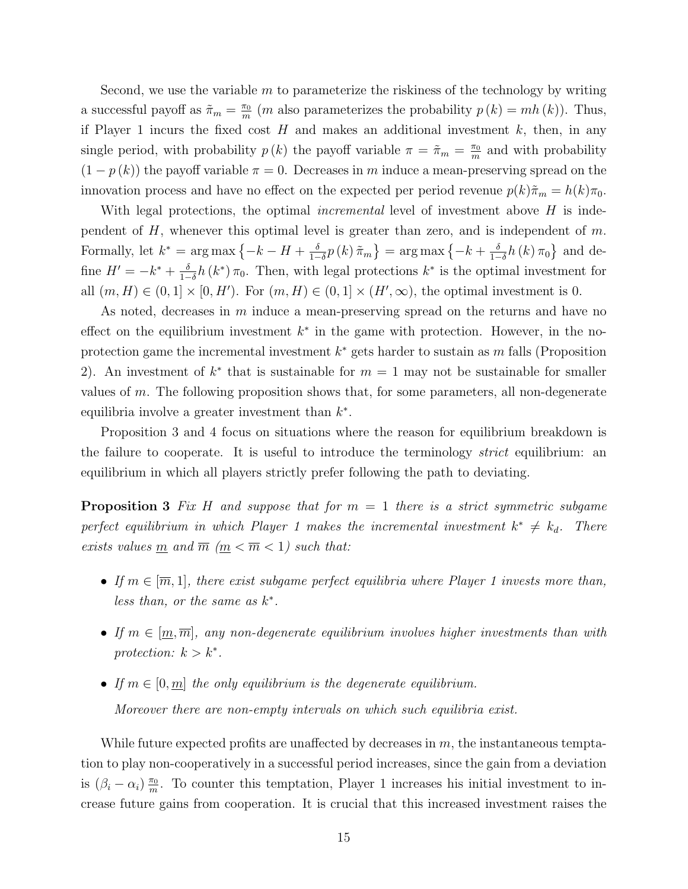Second, we use the variable m to parameterize the riskiness of the technology by writing a successful payoff as  $\tilde{\pi}_m = \frac{\pi_0}{m}$  $\frac{\pi_0}{m}$  (*m* also parameterizes the probability  $p(k) = mh(k)$ ). Thus, if Player 1 incurs the fixed cost  $H$  and makes an additional investment  $k$ , then, in any single period, with probability  $p(k)$  the payoff variable  $\pi = \tilde{\pi}_m = \frac{\pi_0}{m}$  $\frac{\pi_0}{m}$  and with probability  $(1 - p(k))$  the payoff variable  $\pi = 0$ . Decreases in m induce a mean-preserving spread on the innovation process and have no effect on the expected per period revenue  $p(k)\tilde{\pi}_m = h(k)\pi_0$ .

With legal protections, the optimal *incremental* level of investment above  $H$  is independent of  $H$ , whenever this optimal level is greater than zero, and is independent of  $m$ . Formally, let  $k^* = \arg \max \{-k - H + \frac{\delta}{1 - \epsilon}\}$  $\frac{\delta}{1-\delta}p\left(k\right)\tilde{\pi}_{m}\big\} = \argmax\big\{-k+\frac{\delta}{1-\delta}\big\}$  $\frac{\delta}{1-\delta}h(k)\,\pi_0\}$  and define  $H' = -k^* + \frac{\delta}{1-\delta}$  $\frac{\delta}{1-\delta}h(k^*)\pi_0$ . Then, with legal protections  $k^*$  is the optimal investment for all  $(m, H) \in (0, 1] \times [0, H')$ . For  $(m, H) \in (0, 1] \times (H', \infty)$ , the optimal investment is 0.

As noted, decreases in m induce a mean-preserving spread on the returns and have no effect on the equilibrium investment  $k^*$  in the game with protection. However, in the noprotection game the incremental investment  $k^*$  gets harder to sustain as m falls (Proposition 2). An investment of  $k^*$  that is sustainable for  $m = 1$  may not be sustainable for smaller values of  $m$ . The following proposition shows that, for some parameters, all non-degenerate equilibria involve a greater investment than  $k^*$ .

Proposition 3 and 4 focus on situations where the reason for equilibrium breakdown is the failure to cooperate. It is useful to introduce the terminology *strict* equilibrium: an equilibrium in which all players strictly prefer following the path to deviating.

**Proposition 3** Fix H and suppose that for  $m = 1$  there is a strict symmetric subgame perfect equilibrium in which Player 1 makes the incremental investment  $k^* \neq k_d$ . There exists values  $\underline{m}$  and  $\overline{m}$   $(\underline{m} < \overline{m} < 1)$  such that:

- If  $m \in [\overline{m}, 1]$ , there exist subgame perfect equilibria where Player 1 invests more than, less than, or the same as  $k^*$ .
- If  $m \in [m, \overline{m}]$ , any non-degenerate equilibrium involves higher investments than with protection:  $k > k^*$ .
- If  $m \in [0, m]$  the only equilibrium is the degenerate equilibrium. Moreover there are non-empty intervals on which such equilibria exist.

While future expected profits are unaffected by decreases in  $m$ , the instantaneous temptation to play non-cooperatively in a successful period increases, since the gain from a deviation is  $(\beta_i - \alpha_i) \frac{\pi_0}{m}$  $\frac{\pi_0}{m}$ . To counter this temptation, Player 1 increases his initial investment to increase future gains from cooperation. It is crucial that this increased investment raises the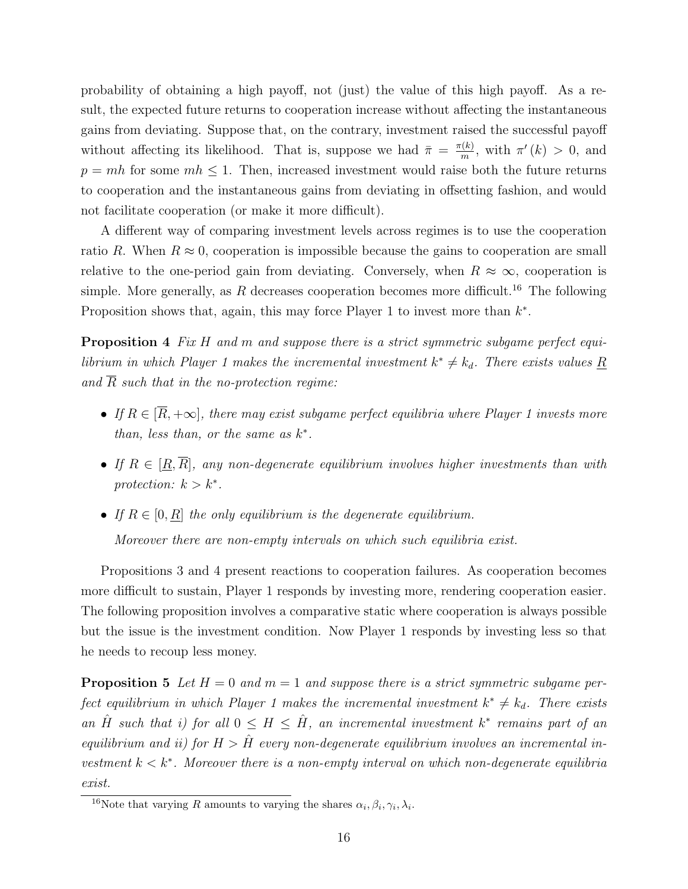probability of obtaining a high payoff, not (just) the value of this high payoff. As a result, the expected future returns to cooperation increase without affecting the instantaneous gains from deviating. Suppose that, on the contrary, investment raised the successful payoff without affecting its likelihood. That is, suppose we had  $\bar{\pi} = \frac{\pi(k)}{m}$  $\frac{f(k)}{m}$ , with  $\pi'(k) > 0$ , and  $p = mh$  for some  $mh \leq 1$ . Then, increased investment would raise both the future returns to cooperation and the instantaneous gains from deviating in offsetting fashion, and would not facilitate cooperation (or make it more difficult).

A different way of comparing investment levels across regimes is to use the cooperation ratio R. When  $R \approx 0$ , cooperation is impossible because the gains to cooperation are small relative to the one-period gain from deviating. Conversely, when  $R \approx \infty$ , cooperation is simple. More generally, as R decreases cooperation becomes more difficult.<sup>16</sup> The following Proposition shows that, again, this may force Player 1 to invest more than  $k^*$ .

**Proposition 4** Fix H and m and suppose there is a strict symmetric subgame perfect equilibrium in which Player 1 makes the incremental investment  $k^* \neq k_d$ . There exists values R and  $\overline{R}$  such that in the no-protection regime:

- If  $R \in [\overline{R}, +\infty]$ , there may exist subgame perfect equilibria where Player 1 invests more than, less than, or the same as  $k^*$ .
- If  $R \in [\underline{R}, \overline{R}]$ , any non-degenerate equilibrium involves higher investments than with protection:  $k > k^*$ .
- If  $R \in [0, \underline{R}]$  the only equilibrium is the degenerate equilibrium. Moreover there are non-empty intervals on which such equilibria exist.

Propositions 3 and 4 present reactions to cooperation failures. As cooperation becomes more difficult to sustain, Player 1 responds by investing more, rendering cooperation easier. The following proposition involves a comparative static where cooperation is always possible but the issue is the investment condition. Now Player 1 responds by investing less so that he needs to recoup less money.

**Proposition 5** Let  $H = 0$  and  $m = 1$  and suppose there is a strict symmetric subgame perfect equilibrium in which Player 1 makes the incremental investment  $k^* \neq k_d$ . There exists an  $\hat{H}$  such that i) for all  $0 \leq H \leq \hat{H}$ , an incremental investment  $k^*$  remains part of an equilibrium and ii) for  $H > \hat{H}$  every non-degenerate equilibrium involves an incremental investment  $k < k^*$ . Moreover there is a non-empty interval on which non-degenerate equilibria exist.

<sup>&</sup>lt;sup>16</sup>Note that varying R amounts to varying the shares  $\alpha_i, \beta_i, \gamma_i, \lambda_i$ .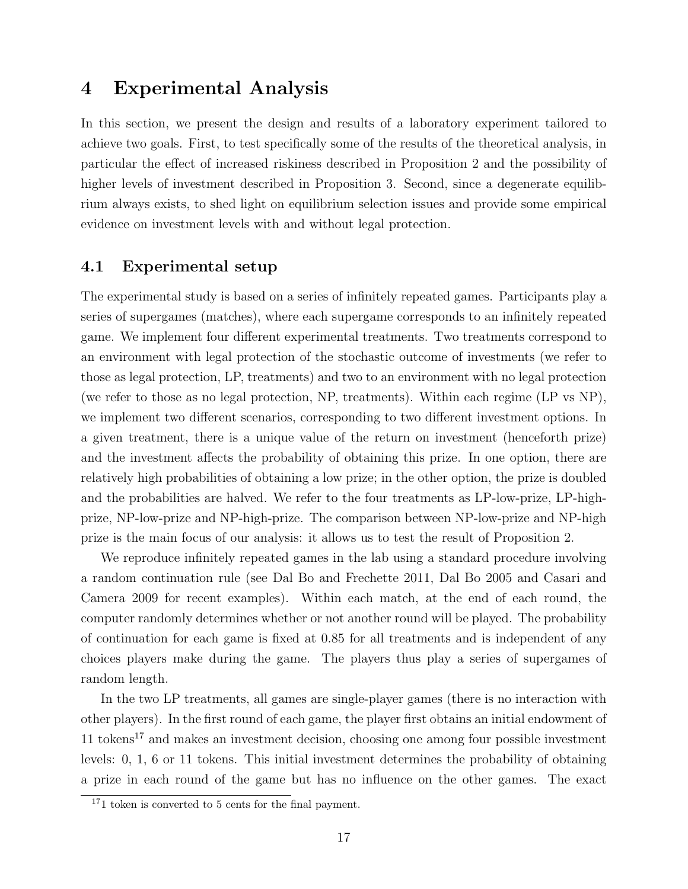# 4 Experimental Analysis

In this section, we present the design and results of a laboratory experiment tailored to achieve two goals. First, to test specifically some of the results of the theoretical analysis, in particular the effect of increased riskiness described in Proposition 2 and the possibility of higher levels of investment described in Proposition 3. Second, since a degenerate equilibrium always exists, to shed light on equilibrium selection issues and provide some empirical evidence on investment levels with and without legal protection.

## 4.1 Experimental setup

The experimental study is based on a series of infinitely repeated games. Participants play a series of supergames (matches), where each supergame corresponds to an infinitely repeated game. We implement four different experimental treatments. Two treatments correspond to an environment with legal protection of the stochastic outcome of investments (we refer to those as legal protection, LP, treatments) and two to an environment with no legal protection (we refer to those as no legal protection, NP, treatments). Within each regime (LP vs NP), we implement two different scenarios, corresponding to two different investment options. In a given treatment, there is a unique value of the return on investment (henceforth prize) and the investment affects the probability of obtaining this prize. In one option, there are relatively high probabilities of obtaining a low prize; in the other option, the prize is doubled and the probabilities are halved. We refer to the four treatments as LP-low-prize, LP-highprize, NP-low-prize and NP-high-prize. The comparison between NP-low-prize and NP-high prize is the main focus of our analysis: it allows us to test the result of Proposition 2.

We reproduce infinitely repeated games in the lab using a standard procedure involving a random continuation rule (see Dal Bo and Frechette 2011, Dal Bo 2005 and Casari and Camera 2009 for recent examples). Within each match, at the end of each round, the computer randomly determines whether or not another round will be played. The probability of continuation for each game is fixed at 0.85 for all treatments and is independent of any choices players make during the game. The players thus play a series of supergames of random length.

In the two LP treatments, all games are single-player games (there is no interaction with other players). In the first round of each game, the player first obtains an initial endowment of 11 tokens<sup>17</sup> and makes an investment decision, choosing one among four possible investment levels: 0, 1, 6 or 11 tokens. This initial investment determines the probability of obtaining a prize in each round of the game but has no influence on the other games. The exact

<sup>&</sup>lt;sup>17</sup>1 token is converted to 5 cents for the final payment.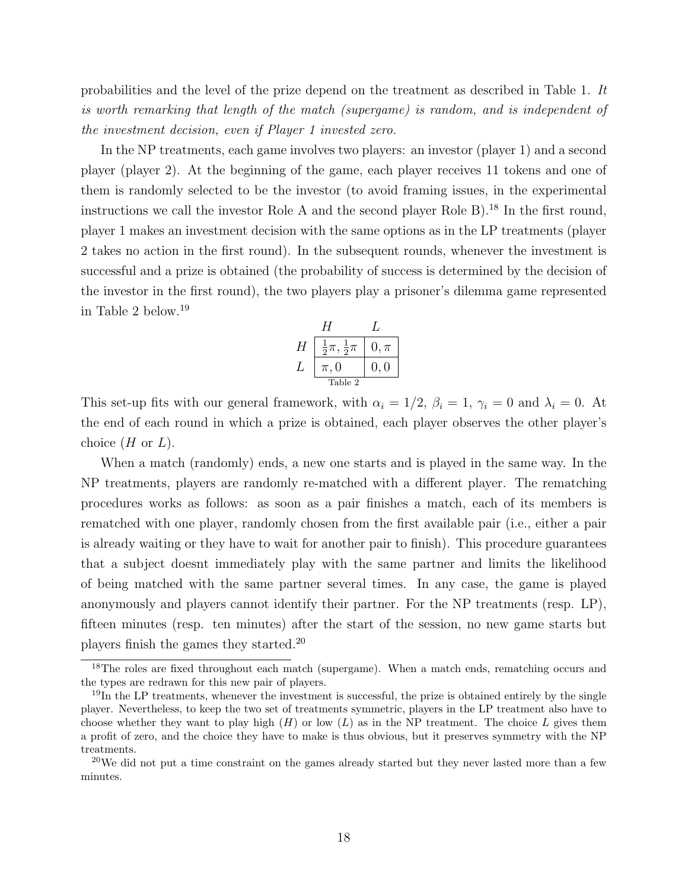probabilities and the level of the prize depend on the treatment as described in Table 1. It is worth remarking that length of the match (supergame) is random, and is independent of the investment decision, even if Player 1 invested zero.

In the NP treatments, each game involves two players: an investor (player 1) and a second player (player 2). At the beginning of the game, each player receives 11 tokens and one of them is randomly selected to be the investor (to avoid framing issues, in the experimental instructions we call the investor Role A and the second player Role B.<sup>18</sup> In the first round, player 1 makes an investment decision with the same options as in the LP treatments (player 2 takes no action in the first round). In the subsequent rounds, whenever the investment is successful and a prize is obtained (the probability of success is determined by the decision of the investor in the first round), the two players play a prisoner's dilemma game represented in Table 2 below.<sup>19</sup>

$$
H \begin{array}{c|c} H & L \\ \hline \frac{1}{2}\pi, \frac{1}{2}\pi & 0, \pi \\ L & \pi, 0 & 0, 0 \\ \hline \text{Table 2} \end{array}
$$

This set-up fits with our general framework, with  $\alpha_i = 1/2$ ,  $\beta_i = 1$ ,  $\gamma_i = 0$  and  $\lambda_i = 0$ . At the end of each round in which a prize is obtained, each player observes the other player's choice  $(H \text{ or } L)$ .

When a match (randomly) ends, a new one starts and is played in the same way. In the NP treatments, players are randomly re-matched with a different player. The rematching procedures works as follows: as soon as a pair finishes a match, each of its members is rematched with one player, randomly chosen from the first available pair (i.e., either a pair is already waiting or they have to wait for another pair to finish). This procedure guarantees that a subject doesnt immediately play with the same partner and limits the likelihood of being matched with the same partner several times. In any case, the game is played anonymously and players cannot identify their partner. For the NP treatments (resp. LP), fifteen minutes (resp. ten minutes) after the start of the session, no new game starts but players finish the games they started.<sup>20</sup>

<sup>&</sup>lt;sup>18</sup>The roles are fixed throughout each match (supergame). When a match ends, rematching occurs and the types are redrawn for this new pair of players.

 $19$ In the LP treatments, whenever the investment is successful, the prize is obtained entirely by the single player. Nevertheless, to keep the two set of treatments symmetric, players in the LP treatment also have to choose whether they want to play high  $(H)$  or low  $(L)$  as in the NP treatment. The choice L gives them a profit of zero, and the choice they have to make is thus obvious, but it preserves symmetry with the NP treatments.

 $^{20}$ We did not put a time constraint on the games already started but they never lasted more than a few minutes.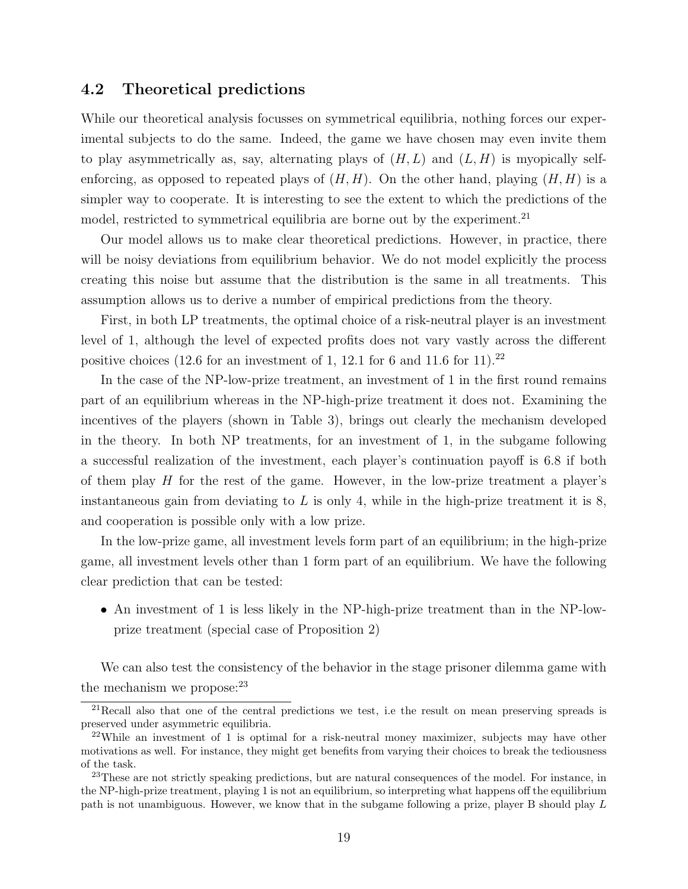## 4.2 Theoretical predictions

While our theoretical analysis focusses on symmetrical equilibria, nothing forces our experimental subjects to do the same. Indeed, the game we have chosen may even invite them to play asymmetrically as, say, alternating plays of  $(H, L)$  and  $(L, H)$  is myopically selfenforcing, as opposed to repeated plays of  $(H, H)$ . On the other hand, playing  $(H, H)$  is a simpler way to cooperate. It is interesting to see the extent to which the predictions of the model, restricted to symmetrical equilibria are borne out by the experiment.<sup>21</sup>

Our model allows us to make clear theoretical predictions. However, in practice, there will be noisy deviations from equilibrium behavior. We do not model explicitly the process creating this noise but assume that the distribution is the same in all treatments. This assumption allows us to derive a number of empirical predictions from the theory.

First, in both LP treatments, the optimal choice of a risk-neutral player is an investment level of 1, although the level of expected profits does not vary vastly across the different positive choices (12.6 for an investment of 1, 12.1 for 6 and 11.6 for 11).<sup>22</sup>

In the case of the NP-low-prize treatment, an investment of 1 in the first round remains part of an equilibrium whereas in the NP-high-prize treatment it does not. Examining the incentives of the players (shown in Table 3), brings out clearly the mechanism developed in the theory. In both NP treatments, for an investment of 1, in the subgame following a successful realization of the investment, each player's continuation payoff is 6.8 if both of them play  $H$  for the rest of the game. However, in the low-prize treatment a player's instantaneous gain from deviating to  $L$  is only 4, while in the high-prize treatment it is 8, and cooperation is possible only with a low prize.

In the low-prize game, all investment levels form part of an equilibrium; in the high-prize game, all investment levels other than 1 form part of an equilibrium. We have the following clear prediction that can be tested:

• An investment of 1 is less likely in the NP-high-prize treatment than in the NP-lowprize treatment (special case of Proposition 2)

We can also test the consistency of the behavior in the stage prisoner dilemma game with the mechanism we propose: $23$ 

 $21$ Recall also that one of the central predictions we test, i.e the result on mean preserving spreads is preserved under asymmetric equilibria.

<sup>&</sup>lt;sup>22</sup>While an investment of 1 is optimal for a risk-neutral money maximizer, subjects may have other motivations as well. For instance, they might get benefits from varying their choices to break the tediousness of the task.

<sup>&</sup>lt;sup>23</sup>These are not strictly speaking predictions, but are natural consequences of the model. For instance, in the NP-high-prize treatment, playing 1 is not an equilibrium, so interpreting what happens off the equilibrium path is not unambiguous. However, we know that in the subgame following a prize, player B should play L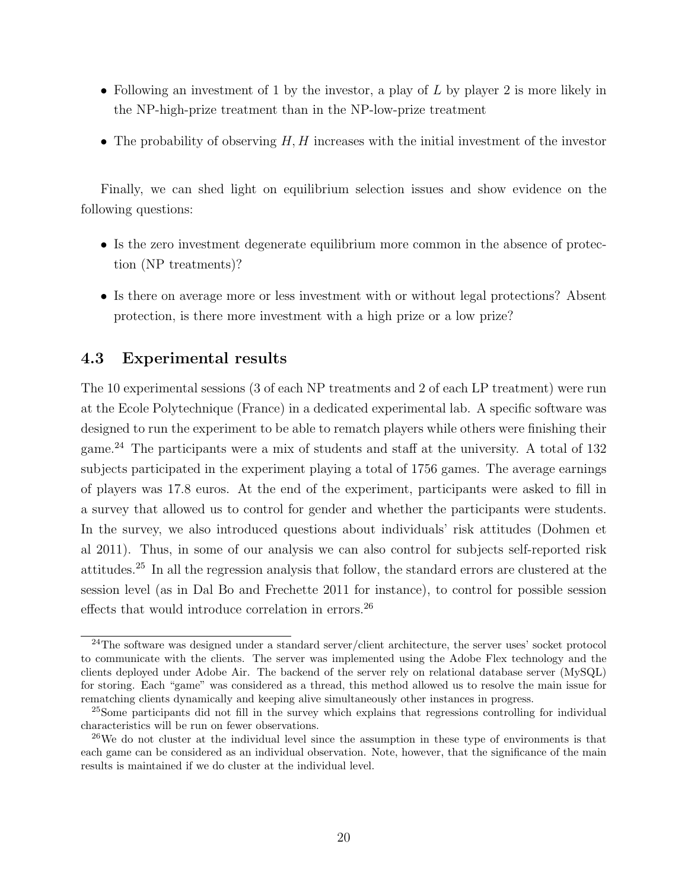- Following an investment of 1 by the investor, a play of  $L$  by player 2 is more likely in the NP-high-prize treatment than in the NP-low-prize treatment
- The probability of observing  $H, H$  increases with the initial investment of the investor

Finally, we can shed light on equilibrium selection issues and show evidence on the following questions:

- Is the zero investment degenerate equilibrium more common in the absence of protection (NP treatments)?
- Is there on average more or less investment with or without legal protections? Absent protection, is there more investment with a high prize or a low prize?

#### 4.3 Experimental results

The 10 experimental sessions (3 of each NP treatments and 2 of each LP treatment) were run at the Ecole Polytechnique (France) in a dedicated experimental lab. A specific software was designed to run the experiment to be able to rematch players while others were finishing their game.<sup>24</sup> The participants were a mix of students and staff at the university. A total of 132 subjects participated in the experiment playing a total of 1756 games. The average earnings of players was 17.8 euros. At the end of the experiment, participants were asked to fill in a survey that allowed us to control for gender and whether the participants were students. In the survey, we also introduced questions about individuals' risk attitudes (Dohmen et al 2011). Thus, in some of our analysis we can also control for subjects self-reported risk attitudes.<sup>25</sup> In all the regression analysis that follow, the standard errors are clustered at the session level (as in Dal Bo and Frechette 2011 for instance), to control for possible session effects that would introduce correlation in errors.<sup>26</sup>

<sup>&</sup>lt;sup>24</sup>The software was designed under a standard server/client architecture, the server uses' socket protocol to communicate with the clients. The server was implemented using the Adobe Flex technology and the clients deployed under Adobe Air. The backend of the server rely on relational database server (MySQL) for storing. Each "game" was considered as a thread, this method allowed us to resolve the main issue for rematching clients dynamically and keeping alive simultaneously other instances in progress.

<sup>&</sup>lt;sup>25</sup>Some participants did not fill in the survey which explains that regressions controlling for individual characteristics will be run on fewer observations.

 $^{26}$ We do not cluster at the individual level since the assumption in these type of environments is that each game can be considered as an individual observation. Note, however, that the significance of the main results is maintained if we do cluster at the individual level.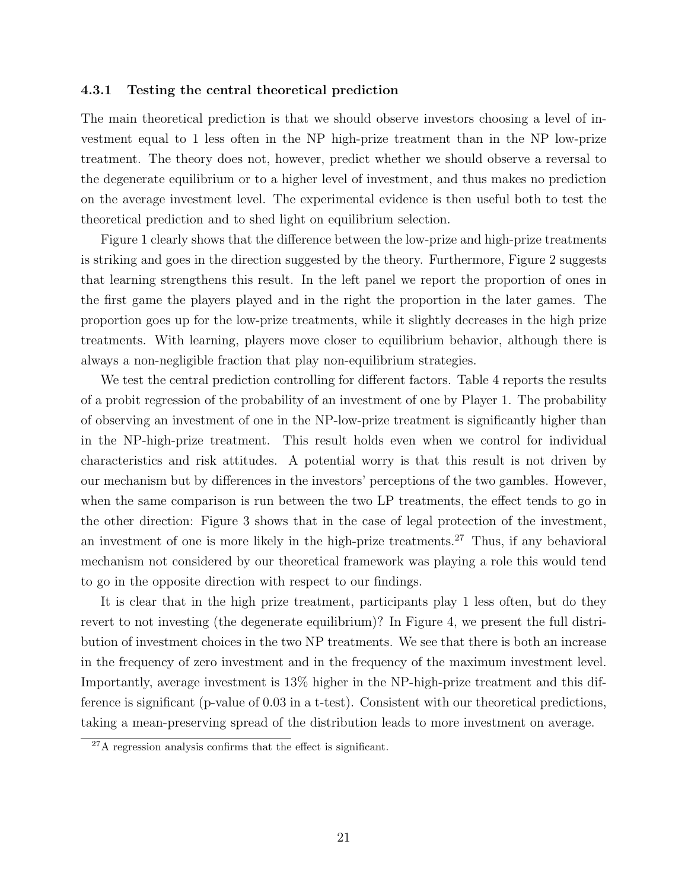#### 4.3.1 Testing the central theoretical prediction

The main theoretical prediction is that we should observe investors choosing a level of investment equal to 1 less often in the NP high-prize treatment than in the NP low-prize treatment. The theory does not, however, predict whether we should observe a reversal to the degenerate equilibrium or to a higher level of investment, and thus makes no prediction on the average investment level. The experimental evidence is then useful both to test the theoretical prediction and to shed light on equilibrium selection.

Figure 1 clearly shows that the difference between the low-prize and high-prize treatments is striking and goes in the direction suggested by the theory. Furthermore, Figure 2 suggests that learning strengthens this result. In the left panel we report the proportion of ones in the first game the players played and in the right the proportion in the later games. The proportion goes up for the low-prize treatments, while it slightly decreases in the high prize treatments. With learning, players move closer to equilibrium behavior, although there is always a non-negligible fraction that play non-equilibrium strategies.

We test the central prediction controlling for different factors. Table 4 reports the results of a probit regression of the probability of an investment of one by Player 1. The probability of observing an investment of one in the NP-low-prize treatment is significantly higher than in the NP-high-prize treatment. This result holds even when we control for individual characteristics and risk attitudes. A potential worry is that this result is not driven by our mechanism but by differences in the investors' perceptions of the two gambles. However, when the same comparison is run between the two LP treatments, the effect tends to go in the other direction: Figure 3 shows that in the case of legal protection of the investment, an investment of one is more likely in the high-prize treatments.<sup>27</sup> Thus, if any behavioral mechanism not considered by our theoretical framework was playing a role this would tend to go in the opposite direction with respect to our findings.

It is clear that in the high prize treatment, participants play 1 less often, but do they revert to not investing (the degenerate equilibrium)? In Figure 4, we present the full distribution of investment choices in the two NP treatments. We see that there is both an increase in the frequency of zero investment and in the frequency of the maximum investment level. Importantly, average investment is 13% higher in the NP-high-prize treatment and this difference is significant (p-value of 0.03 in a t-test). Consistent with our theoretical predictions, taking a mean-preserving spread of the distribution leads to more investment on average.

<sup>27</sup>A regression analysis confirms that the effect is significant.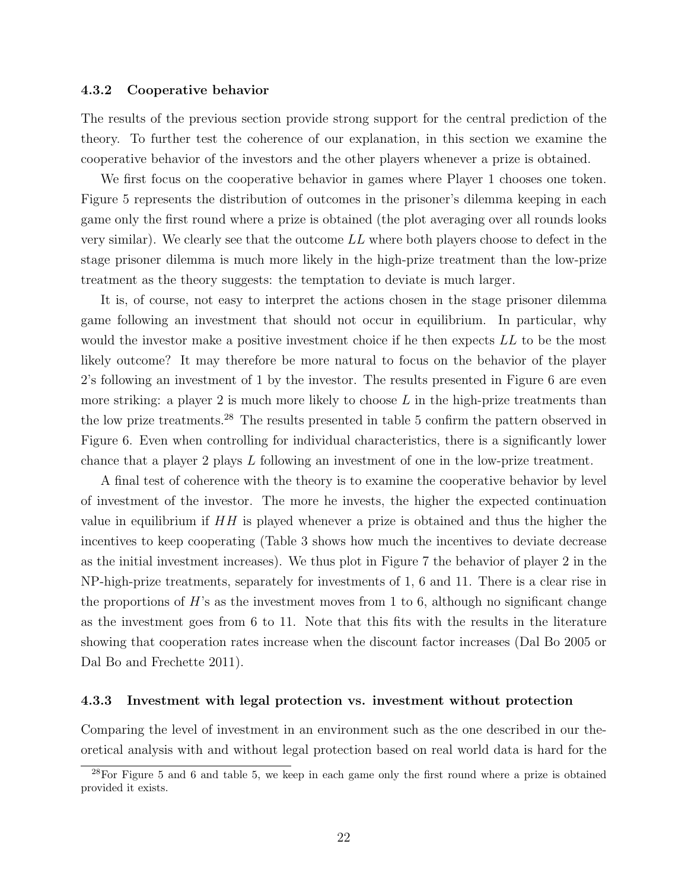#### 4.3.2 Cooperative behavior

The results of the previous section provide strong support for the central prediction of the theory. To further test the coherence of our explanation, in this section we examine the cooperative behavior of the investors and the other players whenever a prize is obtained.

We first focus on the cooperative behavior in games where Player 1 chooses one token. Figure 5 represents the distribution of outcomes in the prisoner's dilemma keeping in each game only the first round where a prize is obtained (the plot averaging over all rounds looks very similar). We clearly see that the outcome LL where both players choose to defect in the stage prisoner dilemma is much more likely in the high-prize treatment than the low-prize treatment as the theory suggests: the temptation to deviate is much larger.

It is, of course, not easy to interpret the actions chosen in the stage prisoner dilemma game following an investment that should not occur in equilibrium. In particular, why would the investor make a positive investment choice if he then expects LL to be the most likely outcome? It may therefore be more natural to focus on the behavior of the player 2's following an investment of 1 by the investor. The results presented in Figure 6 are even more striking: a player 2 is much more likely to choose  $L$  in the high-prize treatments than the low prize treatments.<sup>28</sup> The results presented in table 5 confirm the pattern observed in Figure 6. Even when controlling for individual characteristics, there is a significantly lower chance that a player 2 plays L following an investment of one in the low-prize treatment.

A final test of coherence with the theory is to examine the cooperative behavior by level of investment of the investor. The more he invests, the higher the expected continuation value in equilibrium if  $HH$  is played whenever a prize is obtained and thus the higher the incentives to keep cooperating (Table 3 shows how much the incentives to deviate decrease as the initial investment increases). We thus plot in Figure 7 the behavior of player 2 in the NP-high-prize treatments, separately for investments of 1, 6 and 11. There is a clear rise in the proportions of  $H$ 's as the investment moves from 1 to 6, although no significant change as the investment goes from 6 to 11. Note that this fits with the results in the literature showing that cooperation rates increase when the discount factor increases (Dal Bo 2005 or Dal Bo and Frechette 2011).

#### 4.3.3 Investment with legal protection vs. investment without protection

Comparing the level of investment in an environment such as the one described in our theoretical analysis with and without legal protection based on real world data is hard for the

<sup>&</sup>lt;sup>28</sup>For Figure 5 and 6 and table 5, we keep in each game only the first round where a prize is obtained provided it exists.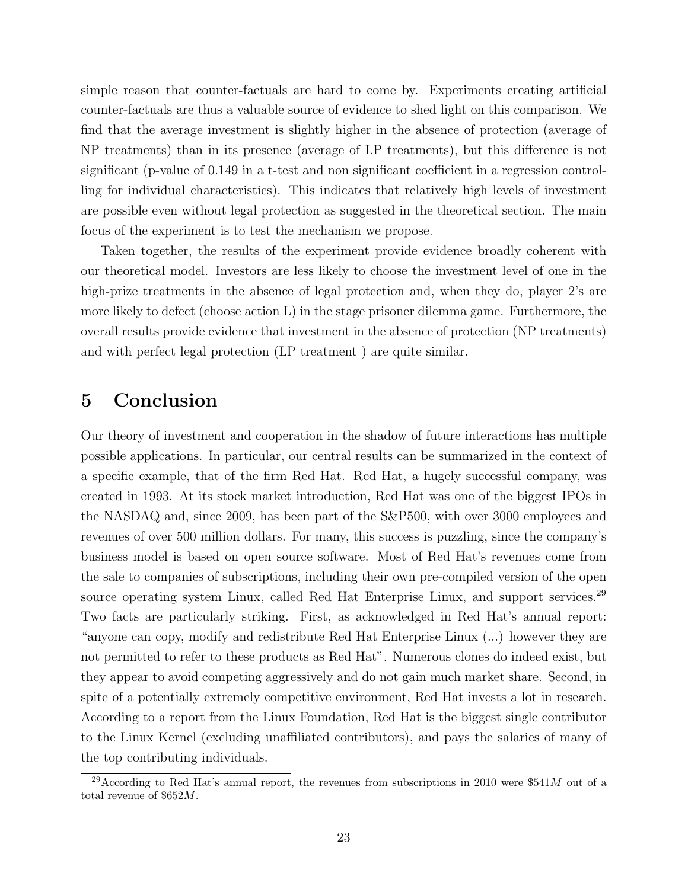simple reason that counter-factuals are hard to come by. Experiments creating artificial counter-factuals are thus a valuable source of evidence to shed light on this comparison. We find that the average investment is slightly higher in the absence of protection (average of NP treatments) than in its presence (average of LP treatments), but this difference is not significant (p-value of 0.149 in a t-test and non significant coefficient in a regression controlling for individual characteristics). This indicates that relatively high levels of investment are possible even without legal protection as suggested in the theoretical section. The main focus of the experiment is to test the mechanism we propose.

Taken together, the results of the experiment provide evidence broadly coherent with our theoretical model. Investors are less likely to choose the investment level of one in the high-prize treatments in the absence of legal protection and, when they do, player 2's are more likely to defect (choose action L) in the stage prisoner dilemma game. Furthermore, the overall results provide evidence that investment in the absence of protection (NP treatments) and with perfect legal protection (LP treatment ) are quite similar.

## 5 Conclusion

Our theory of investment and cooperation in the shadow of future interactions has multiple possible applications. In particular, our central results can be summarized in the context of a specific example, that of the firm Red Hat. Red Hat, a hugely successful company, was created in 1993. At its stock market introduction, Red Hat was one of the biggest IPOs in the NASDAQ and, since 2009, has been part of the S&P500, with over 3000 employees and revenues of over 500 million dollars. For many, this success is puzzling, since the company's business model is based on open source software. Most of Red Hat's revenues come from the sale to companies of subscriptions, including their own pre-compiled version of the open source operating system Linux, called Red Hat Enterprise Linux, and support services.<sup>29</sup> Two facts are particularly striking. First, as acknowledged in Red Hat's annual report: "anyone can copy, modify and redistribute Red Hat Enterprise Linux (...) however they are not permitted to refer to these products as Red Hat". Numerous clones do indeed exist, but they appear to avoid competing aggressively and do not gain much market share. Second, in spite of a potentially extremely competitive environment, Red Hat invests a lot in research. According to a report from the Linux Foundation, Red Hat is the biggest single contributor to the Linux Kernel (excluding unaffiliated contributors), and pays the salaries of many of the top contributing individuals.

<sup>&</sup>lt;sup>29</sup>According to Red Hat's annual report, the revenues from subscriptions in 2010 were \$541M out of a total revenue of \$652M.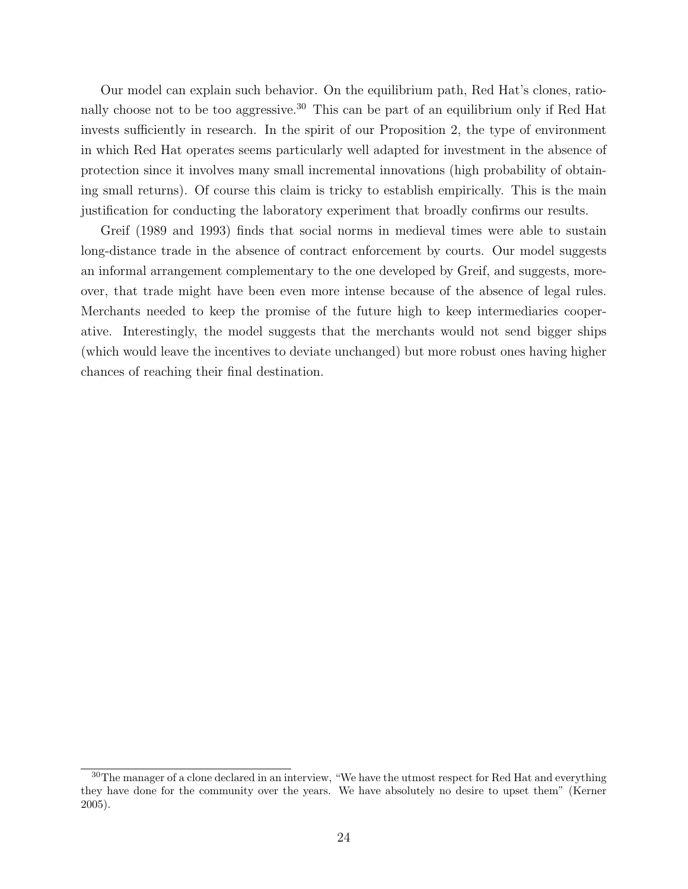Our model can explain such behavior. On the equilibrium path, Red Hat's clones, rationally choose not to be too aggressive.<sup>30</sup> This can be part of an equilibrium only if Red Hat invests sufficiently in research. In the spirit of our Proposition 2, the type of environment in which Red Hat operates seems particularly well adapted for investment in the absence of protection since it involves many small incremental innovations (high probability of obtaining small returns). Of course this claim is tricky to establish empirically. This is the main justification for conducting the laboratory experiment that broadly confirms our results.

Greif (1989 and 1993) finds that social norms in medieval times were able to sustain long-distance trade in the absence of contract enforcement by courts. Our model suggests an informal arrangement complementary to the one developed by Greif, and suggests, moreover, that trade might have been even more intense because of the absence of legal rules. Merchants needed to keep the promise of the future high to keep intermediaries cooperative. Interestingly, the model suggests that the merchants would not send bigger ships (which would leave the incentives to deviate unchanged) but more robust ones having higher chances of reaching their final destination.

<sup>&</sup>lt;sup>30</sup>The manager of a clone declared in an interview, "We have the utmost respect for Red Hat and everything they have done for the community over the years. We have absolutely no desire to upset them" (Kerner 2005).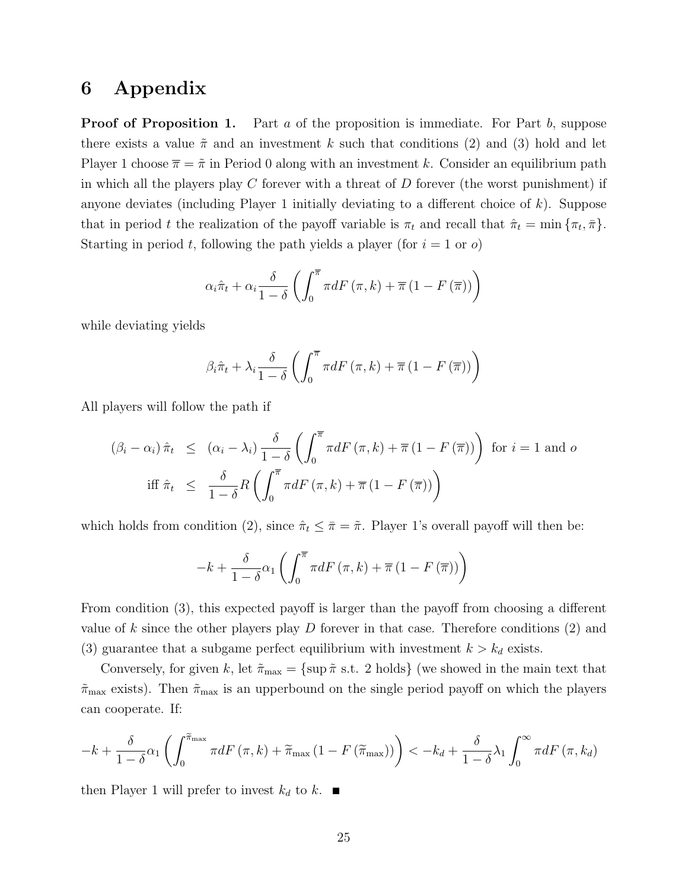## 6 Appendix

**Proof of Proposition 1.** Part  $a$  of the proposition is immediate. For Part  $b$ , suppose there exists a value  $\tilde{\pi}$  and an investment k such that conditions (2) and (3) hold and let Player 1 choose  $\bar{\pi} = \tilde{\pi}$  in Period 0 along with an investment k. Consider an equilibrium path in which all the players play  $C$  forever with a threat of  $D$  forever (the worst punishment) if anyone deviates (including Player 1 initially deviating to a different choice of  $k$ ). Suppose that in period t the realization of the payoff variable is  $\pi_t$  and recall that  $\hat{\pi}_t = \min \{ \pi_t, \bar{\pi} \}.$ Starting in period t, following the path yields a player (for  $i = 1$  or  $o$ )

$$
\alpha_{i}\hat{\pi}_{t} + \alpha_{i} \frac{\delta}{1-\delta} \left( \int_{0}^{\overline{\pi}} \pi dF\left(\pi, k\right) + \overline{\pi} \left(1 - F\left(\overline{\pi}\right)\right) \right)
$$

while deviating yields

$$
\beta_i \hat{\pi}_t + \lambda_i \frac{\delta}{1-\delta} \left( \int_0^{\overline{\pi}} \pi dF(\pi, k) + \overline{\pi} (1 - F(\overline{\pi})) \right)
$$

All players will follow the path if

$$
(\beta_i - \alpha_i) \hat{\pi}_t \leq (\alpha_i - \lambda_i) \frac{\delta}{1 - \delta} \left( \int_0^{\overline{\pi}} \pi dF(\pi, k) + \overline{\pi} (1 - F(\overline{\pi})) \right) \text{ for } i = 1 \text{ and } o
$$
  
iff  $\hat{\pi}_t \leq \frac{\delta}{1 - \delta} R \left( \int_0^{\overline{\pi}} \pi dF(\pi, k) + \overline{\pi} (1 - F(\overline{\pi})) \right)$ 

which holds from condition (2), since  $\hat{\pi}_t \leq \bar{\pi} = \tilde{\pi}$ . Player 1's overall payoff will then be:

$$
-k+\frac{\delta}{1-\delta}\alpha_1\left(\int_0^{\overline{\pi}}\pi dF\left(\pi,k\right)+\overline{\pi}\left(1-F\left(\overline{\pi}\right)\right)\right)
$$

From condition (3), this expected payoff is larger than the payoff from choosing a different value of k since the other players play  $D$  forever in that case. Therefore conditions  $(2)$  and (3) guarantee that a subgame perfect equilibrium with investment  $k > k_d$  exists.

Conversely, for given k, let  $\tilde{\pi}_{\text{max}} = {\text{sup}} \tilde{\pi} \text{ s.t. 2 holds}$  (we showed in the main text that  $\tilde{\pi}_{\text{max}}$  exists). Then  $\tilde{\pi}_{\text{max}}$  is an upperbound on the single period payoff on which the players can cooperate. If:

$$
-k + \frac{\delta}{1-\delta}\alpha_1 \left( \int_0^{\widetilde{\pi}_{\text{max}}} \pi dF\left(\pi, k\right) + \widetilde{\pi}_{\text{max}}\left(1 - F\left(\widetilde{\pi}_{\text{max}}\right)\right) \right) < -k_d + \frac{\delta}{1-\delta}\lambda_1 \int_0^\infty \pi dF\left(\pi, k_d\right)
$$

then Player 1 will prefer to invest  $k_d$  to k.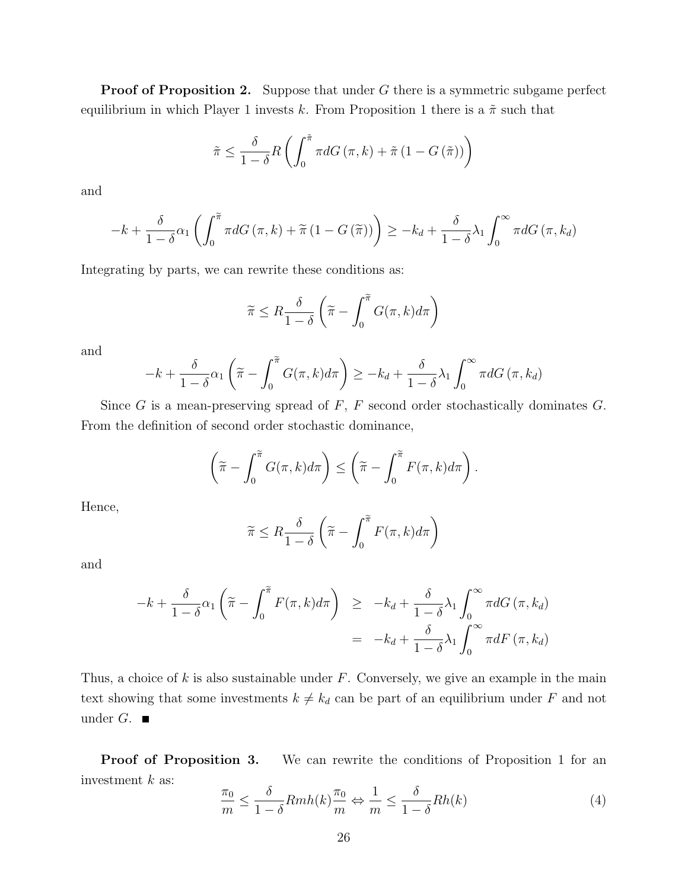**Proof of Proposition 2.** Suppose that under G there is a symmetric subgame perfect equilibrium in which Player 1 invests k. From Proposition 1 there is a  $\tilde{\pi}$  such that

$$
\tilde{\pi} \leq \frac{\delta}{1-\delta} R\left(\int_0^{\tilde{\pi}} \pi dG\left(\pi, k\right) + \tilde{\pi}\left(1 - G\left(\tilde{\pi}\right)\right)\right)
$$

and

$$
-k + \frac{\delta}{1-\delta}\alpha_1 \left( \int_0^{\widetilde{\pi}} \pi dG\left(\pi, k\right) + \widetilde{\pi} \left(1 - G\left(\widetilde{\pi}\right)\right) \right) \geq -k_d + \frac{\delta}{1-\delta}\lambda_1 \int_0^{\infty} \pi dG\left(\pi, k_d\right)
$$

Integrating by parts, we can rewrite these conditions as:

$$
\widetilde{\pi} \leq R \frac{\delta}{1-\delta} \left( \widetilde{\pi} - \int_0^{\widetilde{\pi}} G(\pi, k) d\pi \right)
$$

and

$$
-k + \frac{\delta}{1-\delta}\alpha_1\left(\widetilde{\pi} - \int_0^{\widetilde{\pi}} G(\pi, k) d\pi\right) \geq -k_d + \frac{\delta}{1-\delta}\lambda_1 \int_0^{\infty} \pi dG(\pi, k_d)
$$

Since G is a mean-preserving spread of  $F$ ,  $F$  second order stochastically dominates  $G$ . From the definition of second order stochastic dominance,

$$
\left(\widetilde{\pi} - \int_0^{\widetilde{\pi}} G(\pi, k) d\pi\right) \leq \left(\widetilde{\pi} - \int_0^{\widetilde{\pi}} F(\pi, k) d\pi\right).
$$

Hence,

$$
\widetilde{\pi} \le R \frac{\delta}{1-\delta} \left( \widetilde{\pi} - \int_0^{\widetilde{\pi}} F(\pi, k) d\pi \right)
$$

and

$$
-k + \frac{\delta}{1-\delta}\alpha_1\left(\widetilde{\pi} - \int_0^{\widetilde{\pi}} F(\pi, k)d\pi\right) \geq -k_d + \frac{\delta}{1-\delta}\lambda_1\int_0^{\infty} \pi dG(\pi, k_d)
$$

$$
= -k_d + \frac{\delta}{1-\delta}\lambda_1\int_0^{\infty} \pi dF(\pi, k_d)
$$

Thus, a choice of  $k$  is also sustainable under  $F$ . Conversely, we give an example in the main text showing that some investments  $k \neq k_d$  can be part of an equilibrium under F and not under  $G$ .

Proof of Proposition 3. We can rewrite the conditions of Proposition 1 for an investment  $k$  as:

$$
\frac{\pi_0}{m} \le \frac{\delta}{1-\delta} Rmh(k) \frac{\pi_0}{m} \Leftrightarrow \frac{1}{m} \le \frac{\delta}{1-\delta} Rh(k)
$$
\n(4)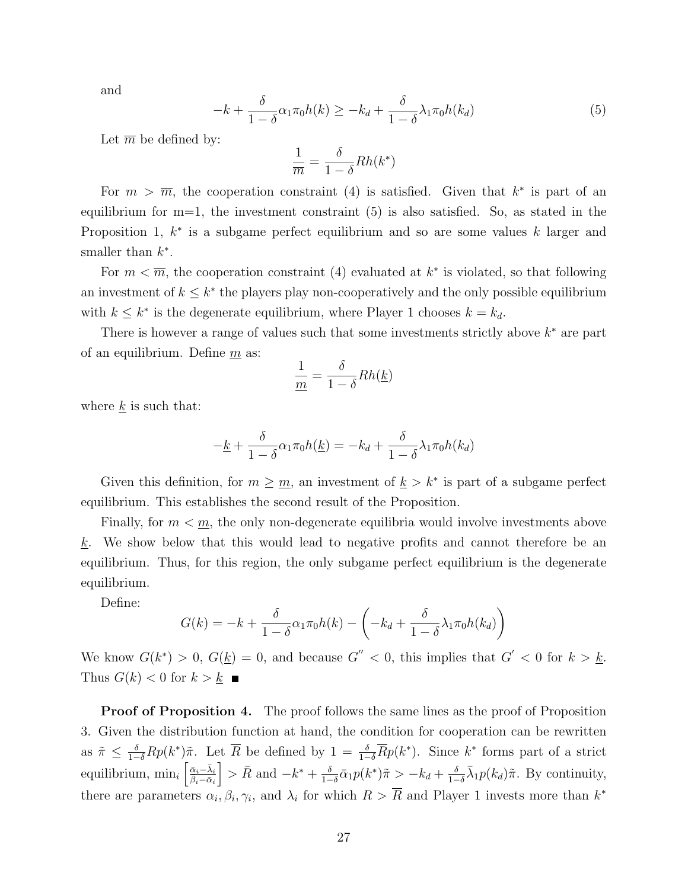and

$$
-k + \frac{\delta}{1-\delta} \alpha_1 \pi_0 h(k) \geq -k_d + \frac{\delta}{1-\delta} \lambda_1 \pi_0 h(k_d)
$$
\n<sup>(5)</sup>

Let  $\overline{m}$  be defined by:

$$
\frac{1}{\overline{m}} = \frac{\delta}{1-\delta}Rh(k^*)
$$

For  $m > \overline{m}$ , the cooperation constraint (4) is satisfied. Given that  $k^*$  is part of an equilibrium for  $m=1$ , the investment constraint  $(5)$  is also satisfied. So, as stated in the Proposition 1,  $k^*$  is a subgame perfect equilibrium and so are some values k larger and smaller than  $k^*$ .

For  $m < \overline{m}$ , the cooperation constraint (4) evaluated at  $k^*$  is violated, so that following an investment of  $k \leq k^*$  the players play non-cooperatively and the only possible equilibrium with  $k \leq k^*$  is the degenerate equilibrium, where Player 1 chooses  $k = k_d$ .

There is however a range of values such that some investments strictly above  $k^*$  are part of an equilibrium. Define  $m$  as:

$$
\frac{1}{\underline{m}} = \frac{\delta}{1-\delta} Rh(\underline{k})
$$

where  $\underline{k}$  is such that:

$$
-\underline{k} + \frac{\delta}{1-\delta}\alpha_1\pi_0 h(\underline{k}) = -k_d + \frac{\delta}{1-\delta}\lambda_1\pi_0 h(k_d)
$$

Given this definition, for  $m \geq m$ , an investment of  $k > k^*$  is part of a subgame perfect equilibrium. This establishes the second result of the Proposition.

Finally, for  $m < m$ , the only non-degenerate equilibria would involve investments above  $k$ . We show below that this would lead to negative profits and cannot therefore be an equilibrium. Thus, for this region, the only subgame perfect equilibrium is the degenerate equilibrium.

Define:

$$
G(k) = -k + \frac{\delta}{1-\delta} \alpha_1 \pi_0 h(k) - \left(-k_d + \frac{\delta}{1-\delta} \lambda_1 \pi_0 h(k_d)\right)
$$

We know  $G(k^*) > 0$ ,  $G(\underline{k}) = 0$ , and because  $G'' < 0$ , this implies that  $G' < 0$  for  $k > \underline{k}$ . Thus  $G(k) < 0$  for  $k > k$ 

**Proof of Proposition 4.** The proof follows the same lines as the proof of Proposition 3. Given the distribution function at hand, the condition for cooperation can be rewritten as  $\tilde{\pi} \leq \frac{\delta}{1-\delta}Rp(k^*)\tilde{\pi}$ . Let  $\overline{R}$  be defined by  $1 = \frac{\delta}{1-\delta}\overline{R}p(k^*)$ . Since  $k^*$  forms part of a strict equilibrium,  $\min_i \left[ \frac{\bar{\alpha}_i - \bar{\lambda}_i}{\bar{\beta}_i - \bar{\alpha}_i} \right]$  $\bigg\} > \bar{R}$  and  $-k^* + \frac{\delta}{1-\delta}$  $\frac{\delta}{1-\delta}\bar{\alpha}_1p(k^*)\tilde{\pi}>-k_d+\frac{\delta}{1-\delta}$  $\frac{\delta}{1-\delta}\bar{\lambda}_1 p(k_d)\tilde{\pi}$ . By continuity, there are parameters  $\alpha_i, \beta_i, \gamma_i$ , and  $\lambda_i$  for which  $R > \overline{R}$  and Player 1 invests more than  $k^*$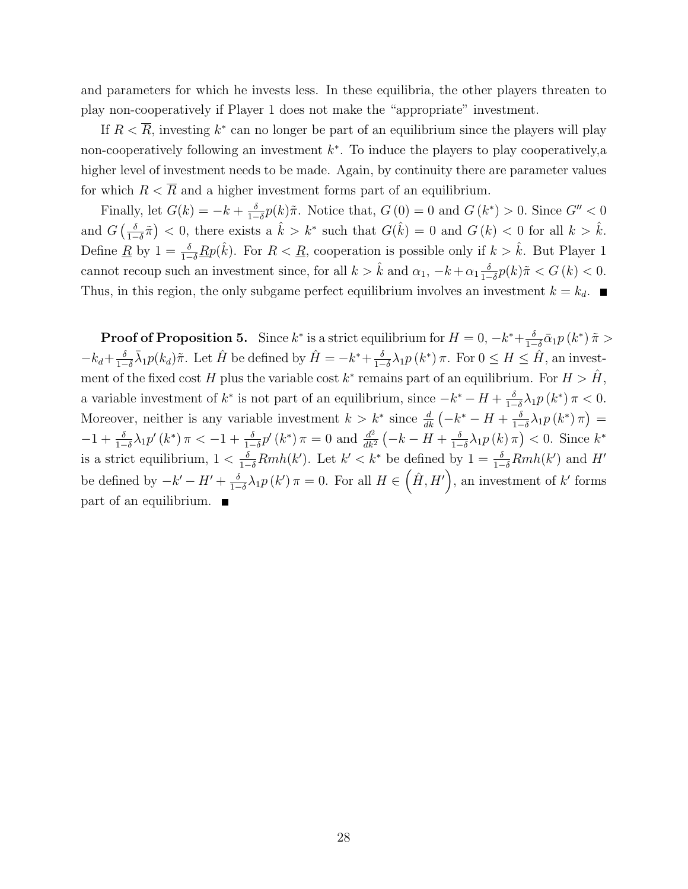and parameters for which he invests less. In these equilibria, the other players threaten to play non-cooperatively if Player 1 does not make the "appropriate" investment.

If  $R < \overline{R}$ , investing  $k^*$  can no longer be part of an equilibrium since the players will play non-cooperatively following an investment  $k^*$ . To induce the players to play cooperatively, a higher level of investment needs to be made. Again, by continuity there are parameter values for which  $R < \overline{R}$  and a higher investment forms part of an equilibrium.

Finally, let  $G(k) = -k + \frac{\delta}{1-k}$  $\frac{\delta}{1-\delta}p(k)\tilde{\pi}$ . Notice that,  $G(0) = 0$  and  $G(k^*) > 0$ . Since  $G'' < 0$ and  $G\left(\frac{\delta}{1-\delta}\right)$  $\frac{\delta}{1-\delta}\tilde{\pi}$  < 0, there exists a  $\hat{k} > k^*$  such that  $G(\hat{k}) = 0$  and  $G(k) < 0$  for all  $k > \hat{k}$ . Define <u>R</u> by  $1 = \frac{\delta}{1-\delta}$  Rp( $\hat{k}$ ). For  $R < \underline{R}$ , cooperation is possible only if  $k > \hat{k}$ . But Player 1 cannot recoup such an investment since, for all  $k > \hat{k}$  and  $\alpha_1, -k + \alpha_1 \frac{\delta}{1-\delta}$  $\frac{\delta}{1-\delta}p(k)\tilde{\pi} < G(k) < 0.$ Thus, in this region, the only subgame perfect equilibrium involves an investment  $k = k_d$ .

**Proof of Proposition 5.** Since  $k^*$  is a strict equilibrium for  $H = 0, -k^* + \frac{\delta}{1-\delta}$  $\frac{\delta}{1-\delta}\bar{\alpha}_1p\left(k^*\right)\tilde{\pi} >$  $-k_d+\frac{\delta}{1-\delta}$  $\frac{\delta}{1-\delta}\bar{\lambda}_1 p(k_d)\tilde{\pi}$ . Let  $\hat{H}$  be defined by  $\hat{H} = -k^* + \frac{\delta}{1-\delta}$  $\frac{\delta}{1-\delta}\lambda_1 p(k^*)\pi$ . For  $0 \le H \le \hat{H}$ , an investment of the fixed cost H plus the variable cost  $k^*$  remains part of an equilibrium. For  $H > \hat{H}$ , a variable investment of  $k^*$  is not part of an equilibrium, since  $-k^* - H + \frac{\delta}{k-1}$  $\frac{\delta}{1-\delta}\lambda_1 p(k^*) \pi < 0.$ Moreover, neither is any variable investment  $k > k^*$  since  $\frac{d}{dk}(-k^* - H + \frac{\delta}{1-\delta})$  $\frac{\delta}{1-\delta}\lambda_1 p\left(k^*\right)\pi\big)=$  $-1 + \frac{\delta}{1-\delta}\lambda_1 p'(k^*) \pi < -1 + \frac{\delta}{1-\delta}p'(k^*) \pi = 0$  and  $\frac{d^2}{dk^2}$  $\frac{d^2}{dk^2}\left(-k-H+\frac{\delta}{1-\delta}\right)$  $\frac{\delta}{1-\delta}\lambda_1 p(k)\,\pi\big)<0.$  Since  $k^*$ is a strict equilibrium,  $1 < \frac{\delta}{1-\delta}Rmh(k')$ . Let  $k' < k^*$  be defined by  $1 = \frac{\delta}{1-\delta}Rmh(k')$  and H' be defined by  $-k'-H'+\frac{\delta}{1-\delta}$  $\frac{\delta}{1-\delta}\lambda_1 p(k')\pi=0.$  For all  $H\in(\hat{H},H')$ , an investment of k' forms  $part of an equilibrium.$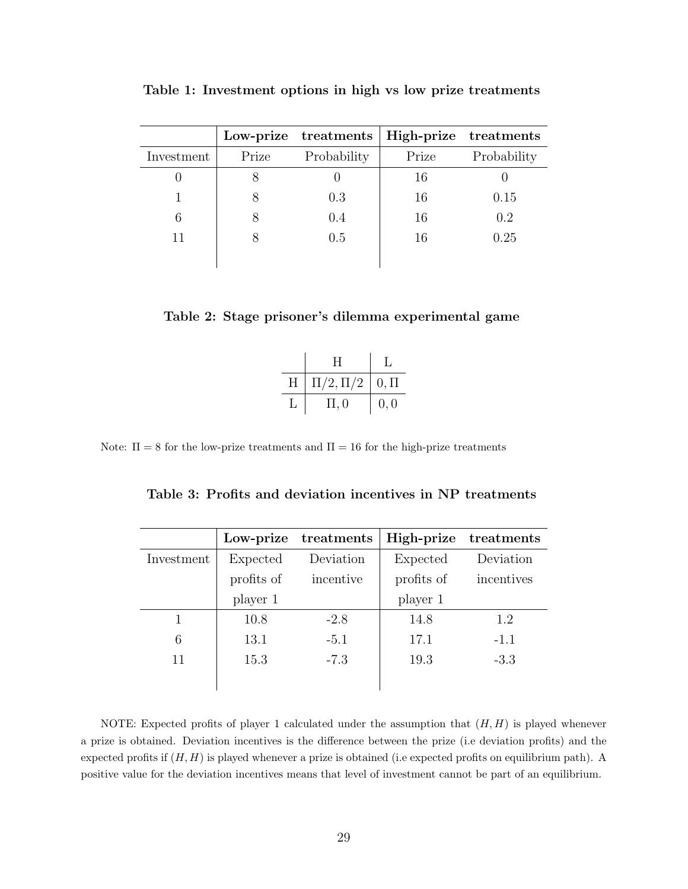|            |       | Low-prize treatments | High-prize treatments |             |
|------------|-------|----------------------|-----------------------|-------------|
| Investment | Prize | Probability          | Prize                 | Probability |
|            |       |                      | 16                    |             |
|            |       | 0.3                  | 16                    | 0.15        |
| 6          |       | 0.4                  | 16                    | 0.2         |
| 11         |       | 0.5                  | 16                    | 0.25        |
|            |       |                      |                       |             |

Table 1: Investment options in high vs low prize treatments

|  |  | Table 2: Stage prisoner's dilemma experimental game |  |
|--|--|-----------------------------------------------------|--|
|  |  |                                                     |  |

|   | H             |              |
|---|---------------|--------------|
| Η | $\Pi/2,\Pi/2$ | $\mid 0,\Pi$ |
| L | $\Pi$ , 0     | 0, 0         |

Note:  $\Pi = 8$  for the low-prize treatments and  $\Pi = 16$  for the high-prize treatments

| Table 3: Profits and deviation incentives in NP treatments |  |  |  |  |  |
|------------------------------------------------------------|--|--|--|--|--|
|------------------------------------------------------------|--|--|--|--|--|

|            | Low-prize  | treatments | High-prize | treatments |
|------------|------------|------------|------------|------------|
| Investment | Expected   | Deviation  | Expected   | Deviation  |
|            | profits of | incentive  | profits of | incentives |
|            | player 1   |            | player 1   |            |
|            | 10.8       | $-2.8$     | 14.8       | 1.2        |
| 6          | 13.1       | $-5.1$     | 17.1       | $-1.1$     |
| 11         | 15.3       | $-7.3$     | 19.3       | $-3.3$     |
|            |            |            |            |            |

NOTE: Expected profits of player 1 calculated under the assumption that  $(H, H)$  is played whenever a prize is obtained. Deviation incentives is the difference between the prize (i.e deviation profits) and the expected profits if  $(H, H)$  is played whenever a prize is obtained (i.e expected profits on equilibrium path). A positive value for the deviation incentives means that level of investment cannot be part of an equilibrium.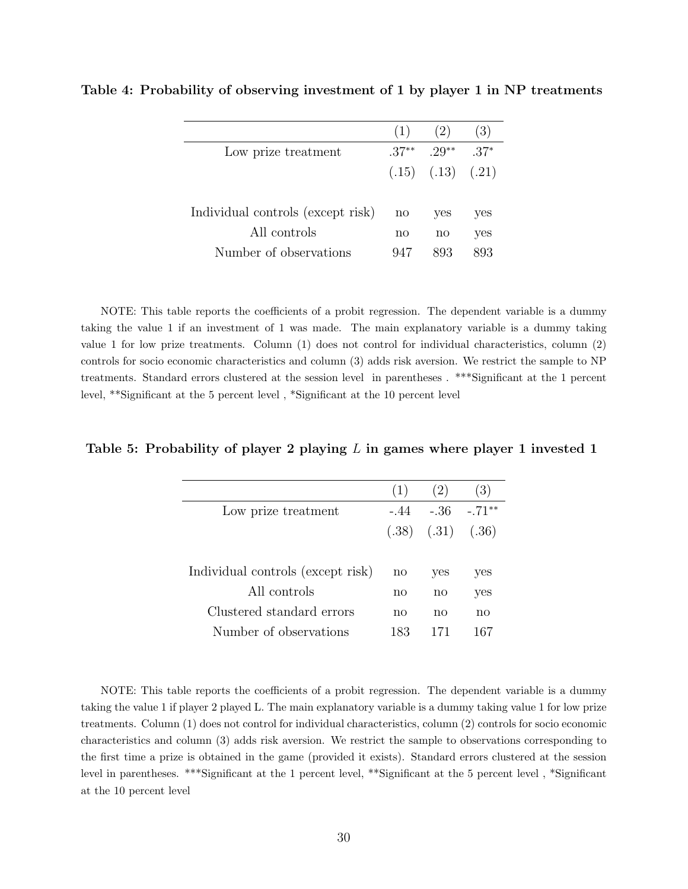|                                   | (1)          | (2)                     | (3)    |
|-----------------------------------|--------------|-------------------------|--------|
| Low prize treatment               | $37**$       | $.29**$                 | $.37*$ |
|                                   |              | $(.15)$ $(.13)$ $(.21)$ |        |
|                                   |              |                         |        |
| Individual controls (except risk) | $\mathbf{n}$ | <b>ves</b>              | yes    |
| All controls                      | no           | no                      | yes    |
| Number of observations            | 947          | 893                     | 893.   |
|                                   |              |                         |        |

Table 4: Probability of observing investment of 1 by player 1 in NP treatments

NOTE: This table reports the coefficients of a probit regression. The dependent variable is a dummy taking the value 1 if an investment of 1 was made. The main explanatory variable is a dummy taking value 1 for low prize treatments. Column (1) does not control for individual characteristics, column (2) controls for socio economic characteristics and column (3) adds risk aversion. We restrict the sample to NP treatments. Standard errors clustered at the session level in parentheses . \*\*\*Significant at the 1 percent level, \*\*Significant at the 5 percent level , \*Significant at the 10 percent level

#### Table 5: Probability of player 2 playing L in games where player 1 invested 1

|                                   | (1)          | (2)                     | (3)      |
|-----------------------------------|--------------|-------------------------|----------|
| Low prize treatment               | - 44         | - 36                    | $-.71**$ |
|                                   |              | $(.38)$ $(.31)$ $(.36)$ |          |
|                                   |              |                         |          |
| Individual controls (except risk) | $\mathbf{n}$ | yes                     | yes      |
| All controls                      | no           | no                      | yes      |
| Clustered standard errors         | nο           | no                      | no       |
| Number of observations            | 183          |                         |          |

NOTE: This table reports the coefficients of a probit regression. The dependent variable is a dummy taking the value 1 if player 2 played L. The main explanatory variable is a dummy taking value 1 for low prize treatments. Column (1) does not control for individual characteristics, column (2) controls for socio economic characteristics and column (3) adds risk aversion. We restrict the sample to observations corresponding to the first time a prize is obtained in the game (provided it exists). Standard errors clustered at the session level in parentheses. \*\*\*Significant at the 1 percent level, \*\*Significant at the 5 percent level , \*Significant at the 10 percent level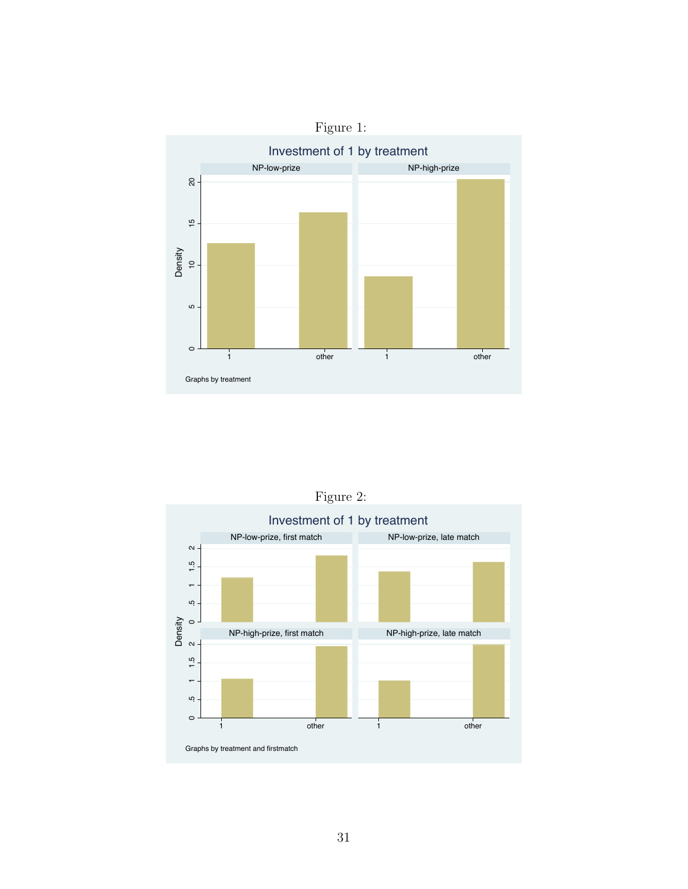

Investment of 1 by treatment NP-low-prize, first match NP-low-prize, late match  $\sim$  .5 1 1.5 2  $1,5$  $\overline{ }$ rù. Density<br>2 NP-high-prize, first match NP-high-prize, late match .5 1 1.5 2  $1.5$  $\overline{a}$ rù  $\circ$ 1 other 1 other 1 other 1 Graphs by treatment and firstmatch

Figure 2: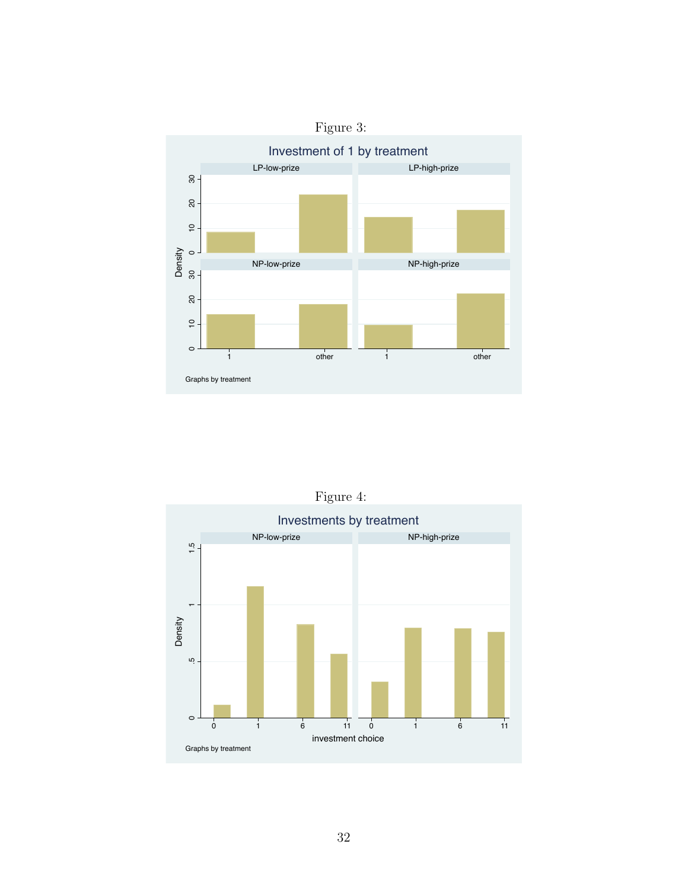



Figure 4: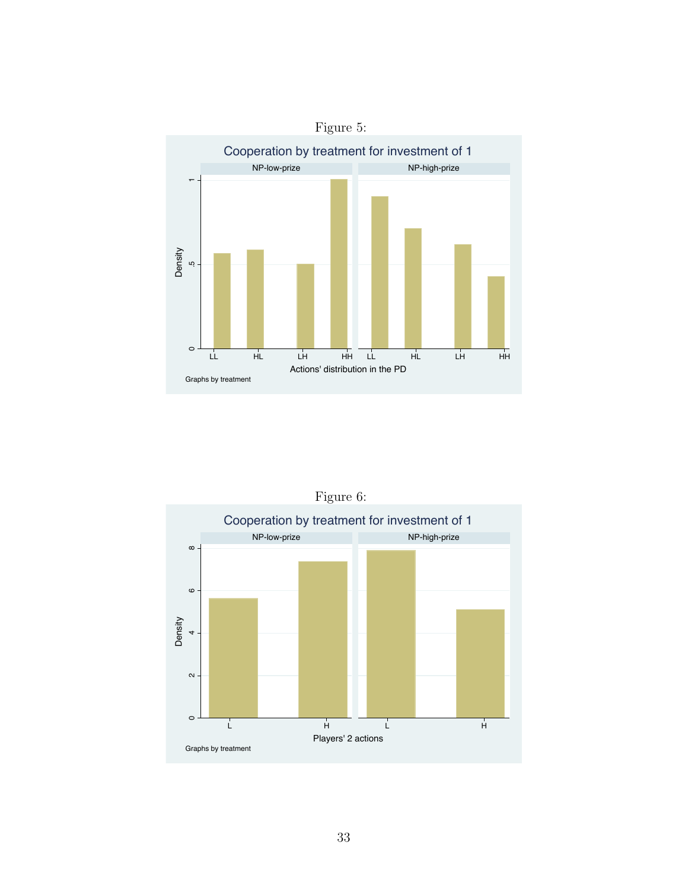

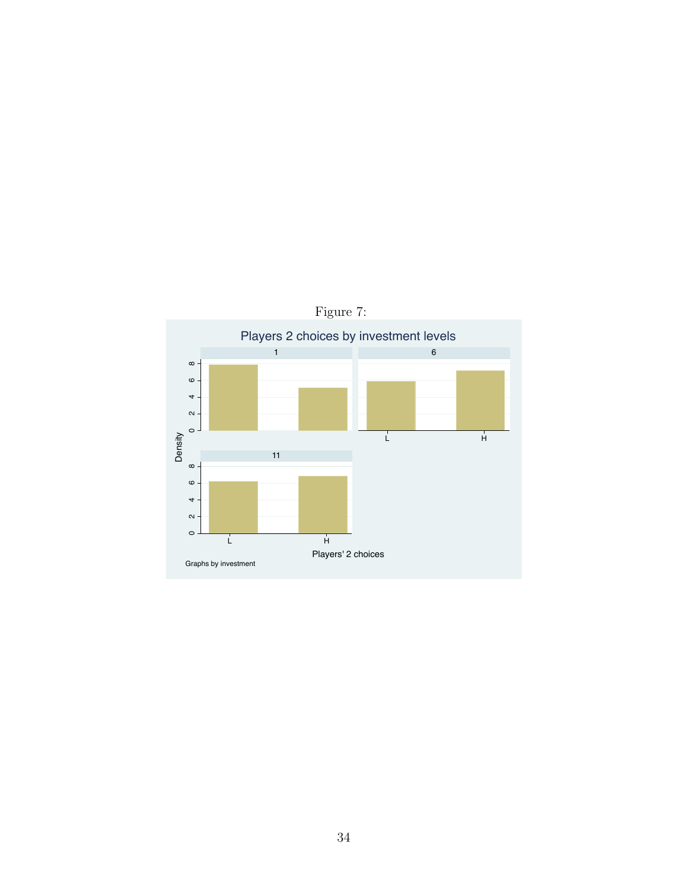

34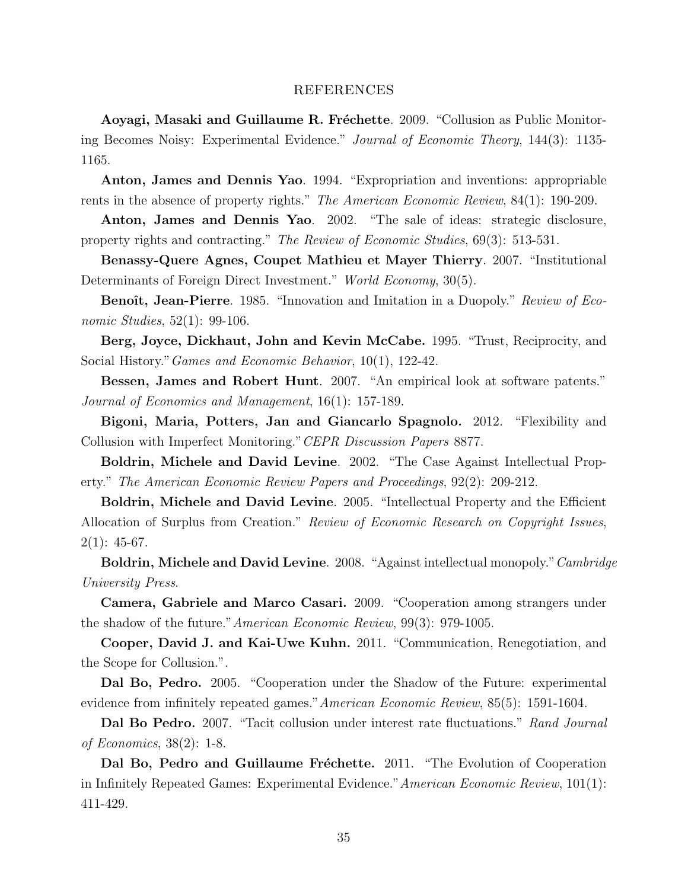#### REFERENCES

Aoyagi, Masaki and Guillaume R. Fréchette. 2009. "Collusion as Public Monitoring Becomes Noisy: Experimental Evidence." Journal of Economic Theory, 144(3): 1135- 1165.

Anton, James and Dennis Yao. 1994. "Expropriation and inventions: appropriable rents in the absence of property rights." The American Economic Review, 84(1): 190-209.

Anton, James and Dennis Yao. 2002. "The sale of ideas: strategic disclosure, property rights and contracting." The Review of Economic Studies, 69(3): 513-531.

Benassy-Quere Agnes, Coupet Mathieu et Mayer Thierry. 2007. "Institutional Determinants of Foreign Direct Investment." World Economy, 30(5).

Benoît, Jean-Pierre. 1985. "Innovation and Imitation in a Duopoly." Review of Economic Studies, 52(1): 99-106.

Berg, Joyce, Dickhaut, John and Kevin McCabe. 1995. "Trust, Reciprocity, and Social History."Games and Economic Behavior, 10(1), 122-42.

Bessen, James and Robert Hunt. 2007. "An empirical look at software patents." Journal of Economics and Management, 16(1): 157-189.

Bigoni, Maria, Potters, Jan and Giancarlo Spagnolo. 2012. "Flexibility and Collusion with Imperfect Monitoring."CEPR Discussion Papers 8877.

Boldrin, Michele and David Levine. 2002. "The Case Against Intellectual Property." The American Economic Review Papers and Proceedings, 92(2): 209-212.

Boldrin, Michele and David Levine. 2005. "Intellectual Property and the Efficient Allocation of Surplus from Creation." Review of Economic Research on Copyright Issues,  $2(1): 45-67.$ 

Boldrin, Michele and David Levine. 2008. "Against intellectual monopoly." Cambridge University Press.

Camera, Gabriele and Marco Casari. 2009. "Cooperation among strangers under the shadow of the future."American Economic Review, 99(3): 979-1005.

Cooper, David J. and Kai-Uwe Kuhn. 2011. "Communication, Renegotiation, and the Scope for Collusion.".

Dal Bo, Pedro. 2005. "Cooperation under the Shadow of the Future: experimental evidence from infinitely repeated games."American Economic Review, 85(5): 1591-1604.

Dal Bo Pedro. 2007. "Tacit collusion under interest rate fluctuations." Rand Journal of Economics, 38(2): 1-8.

Dal Bo, Pedro and Guillaume Fréchette. 2011. "The Evolution of Cooperation in Infinitely Repeated Games: Experimental Evidence."American Economic Review, 101(1): 411-429.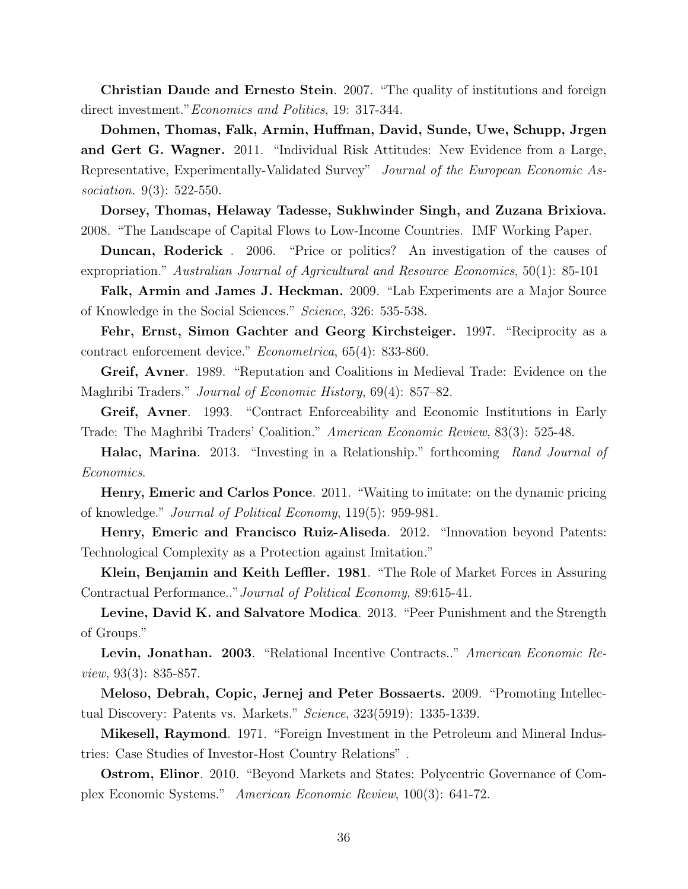Christian Daude and Ernesto Stein. 2007. "The quality of institutions and foreign direct investment." *Economics and Politics*, 19: 317-344.

Dohmen, Thomas, Falk, Armin, Huffman, David, Sunde, Uwe, Schupp, Jrgen and Gert G. Wagner. 2011. "Individual Risk Attitudes: New Evidence from a Large, Representative, Experimentally-Validated Survey" Journal of the European Economic Association. 9(3): 522-550.

Dorsey, Thomas, Helaway Tadesse, Sukhwinder Singh, and Zuzana Brixiova. 2008. "The Landscape of Capital Flows to Low-Income Countries. IMF Working Paper.

Duncan, Roderick . 2006. "Price or politics? An investigation of the causes of expropriation." Australian Journal of Agricultural and Resource Economics, 50(1): 85-101

Falk, Armin and James J. Heckman. 2009. "Lab Experiments are a Major Source of Knowledge in the Social Sciences." Science, 326: 535-538.

Fehr, Ernst, Simon Gachter and Georg Kirchsteiger. 1997. "Reciprocity as a contract enforcement device." Econometrica, 65(4): 833-860.

Greif, Avner. 1989. "Reputation and Coalitions in Medieval Trade: Evidence on the Maghribi Traders." Journal of Economic History, 69(4): 857–82.

Greif, Avner. 1993. "Contract Enforceability and Economic Institutions in Early Trade: The Maghribi Traders' Coalition." American Economic Review, 83(3): 525-48.

Halac, Marina. 2013. "Investing in a Relationship." forthcoming Rand Journal of Economics.

Henry, Emeric and Carlos Ponce. 2011. "Waiting to imitate: on the dynamic pricing of knowledge." Journal of Political Economy, 119(5): 959-981.

Henry, Emeric and Francisco Ruiz-Aliseda. 2012. "Innovation beyond Patents: Technological Complexity as a Protection against Imitation."

Klein, Benjamin and Keith Leffler. 1981. "The Role of Market Forces in Assuring Contractual Performance.."Journal of Political Economy, 89:615-41.

Levine, David K. and Salvatore Modica. 2013. "Peer Punishment and the Strength of Groups."

Levin, Jonathan. 2003. "Relational Incentive Contracts.." American Economic Review, 93(3): 835-857.

Meloso, Debrah, Copic, Jernej and Peter Bossaerts. 2009. "Promoting Intellectual Discovery: Patents vs. Markets." Science, 323(5919): 1335-1339.

Mikesell, Raymond. 1971. "Foreign Investment in the Petroleum and Mineral Industries: Case Studies of Investor-Host Country Relations" .

Ostrom, Elinor. 2010. "Beyond Markets and States: Polycentric Governance of Complex Economic Systems." American Economic Review, 100(3): 641-72.